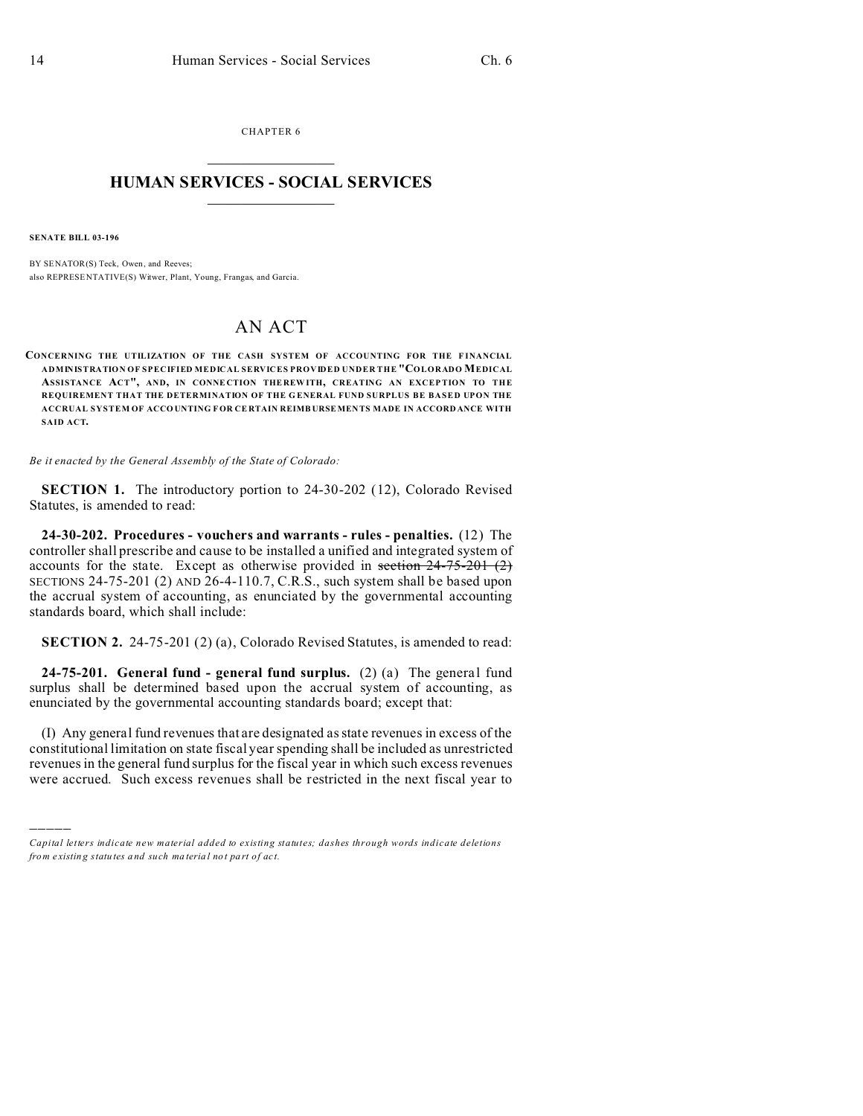CHAPTER 6  $\overline{\phantom{a}}$  , where  $\overline{\phantom{a}}$ 

## **HUMAN SERVICES - SOCIAL SERVICES**  $\frac{1}{2}$  ,  $\frac{1}{2}$  ,  $\frac{1}{2}$  ,  $\frac{1}{2}$  ,  $\frac{1}{2}$  ,  $\frac{1}{2}$  ,  $\frac{1}{2}$

**SENATE BILL 03-196**

)))))

BY SENATOR(S) Teck, Owen, and Reeves; also REPRESE NTATIVE(S) Witwer, Plant, Young, Frangas, and Garcia.

# AN ACT

**CONCERNING THE UTILIZATION OF THE CASH SYSTEM OF ACCOUNTING FOR THE F INANCIAL ADMINISTRATION OF SPECIFIED MEDICAL SERVICES PROVIDED UNDER THE "COLORADO MEDICAL ASSISTANCE ACT", AND, IN CONNE CTION THE REW ITH, CREATING AN EXCEP TION TO THE REQUIREMENT THAT THE DETERMINATION OF THE G ENERAL FUND SURPLUS BE BASED UPON THE ACCRUAL SYSTEM OF ACCO UNTING FOR CE RTAIN REIMB URSEMEN TS MADE IN ACCORD ANCE WITH SAID ACT.**

*Be it enacted by the General Assembly of the State of Colorado:*

**SECTION 1.** The introductory portion to 24-30-202 (12), Colorado Revised Statutes, is amended to read:

**24-30-202. Procedures - vouchers and warrants - rules - penalties.** (12) The controller shall prescribe and cause to be installed a unified and integrated system of accounts for the state. Except as otherwise provided in section  $24-75-201$  (2) SECTIONS 24-75-201 (2) AND 26-4-110.7, C.R.S., such system shall be based upon the accrual system of accounting, as enunciated by the governmental accounting standards board, which shall include:

**SECTION 2.** 24-75-201 (2) (a), Colorado Revised Statutes, is amended to read:

**24-75-201. General fund - general fund surplus.** (2) (a) The general fund surplus shall be determined based upon the accrual system of accounting, as enunciated by the governmental accounting standards board; except that:

(I) Any general fund revenues that are designated as state revenues in excess of the constitutional limitation on state fiscal year spending shall be included as unrestricted revenues in the general fund surplus for the fiscal year in which such excess revenues were accrued. Such excess revenues shall be restricted in the next fiscal year to

*Capital letters indicate new material added to existing statutes; dashes through words indicate deletions from e xistin g statu tes a nd such ma teria l no t pa rt of ac t.*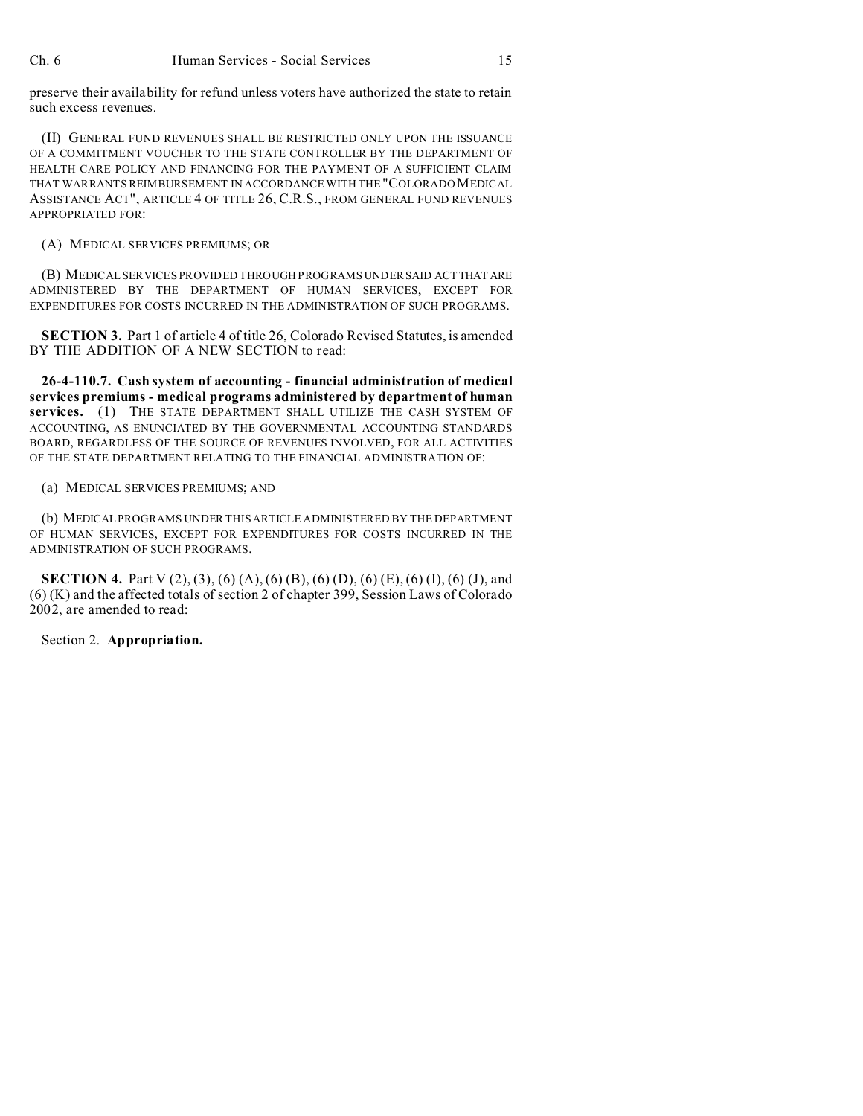preserve their availability for refund unless voters have authorized the state to retain such excess revenues.

(II) GENERAL FUND REVENUES SHALL BE RESTRICTED ONLY UPON THE ISSUANCE OF A COMMITMENT VOUCHER TO THE STATE CONTROLLER BY THE DEPARTMENT OF HEALTH CARE POLICY AND FINANCING FOR THE PAYMENT OF A SUFFICIENT CLAIM THAT WARRANTS REIMBURSEMENT IN ACCORDANCE WITH THE "COLORADO MEDICAL ASSISTANCE ACT", ARTICLE 4 OF TITLE 26, C.R.S., FROM GENERAL FUND REVENUES APPROPRIATED FOR:

(A) MEDICAL SERVICES PREMIUMS; OR

(B) MEDICAL SERVICES PROVIDED THROUGH PROGRAMS UNDER SAID ACTTHAT ARE ADMINISTERED BY THE DEPARTMENT OF HUMAN SERVICES, EXCEPT FOR EXPENDITURES FOR COSTS INCURRED IN THE ADMINISTRATION OF SUCH PROGRAMS.

**SECTION 3.** Part 1 of article 4 of title 26, Colorado Revised Statutes, is amended BY THE ADDITION OF A NEW SECTION to read:

**26-4-110.7. Cash system of accounting - financial administration of medical services premiums - medical programs administered by department of human services.** (1) THE STATE DEPARTMENT SHALL UTILIZE THE CASH SYSTEM OF ACCOUNTING, AS ENUNCIATED BY THE GOVERNMENTAL ACCOUNTING STANDARDS BOARD, REGARDLESS OF THE SOURCE OF REVENUES INVOLVED, FOR ALL ACTIVITIES OF THE STATE DEPARTMENT RELATING TO THE FINANCIAL ADMINISTRATION OF:

## (a) MEDICAL SERVICES PREMIUMS; AND

(b) MEDICAL PROGRAMS UNDER THIS ARTICLE ADMINISTERED BY THE DEPARTMENT OF HUMAN SERVICES, EXCEPT FOR EXPENDITURES FOR COSTS INCURRED IN THE ADMINISTRATION OF SUCH PROGRAMS.

**SECTION 4.** Part V (2), (3), (6) (A), (6) (B), (6) (D), (6) (E), (6) (I), (6) (J), and (6) (K) and the affected totals of section 2 of chapter 399, Session Laws of Colorado 2002, are amended to read:

Section 2. **Appropriation.**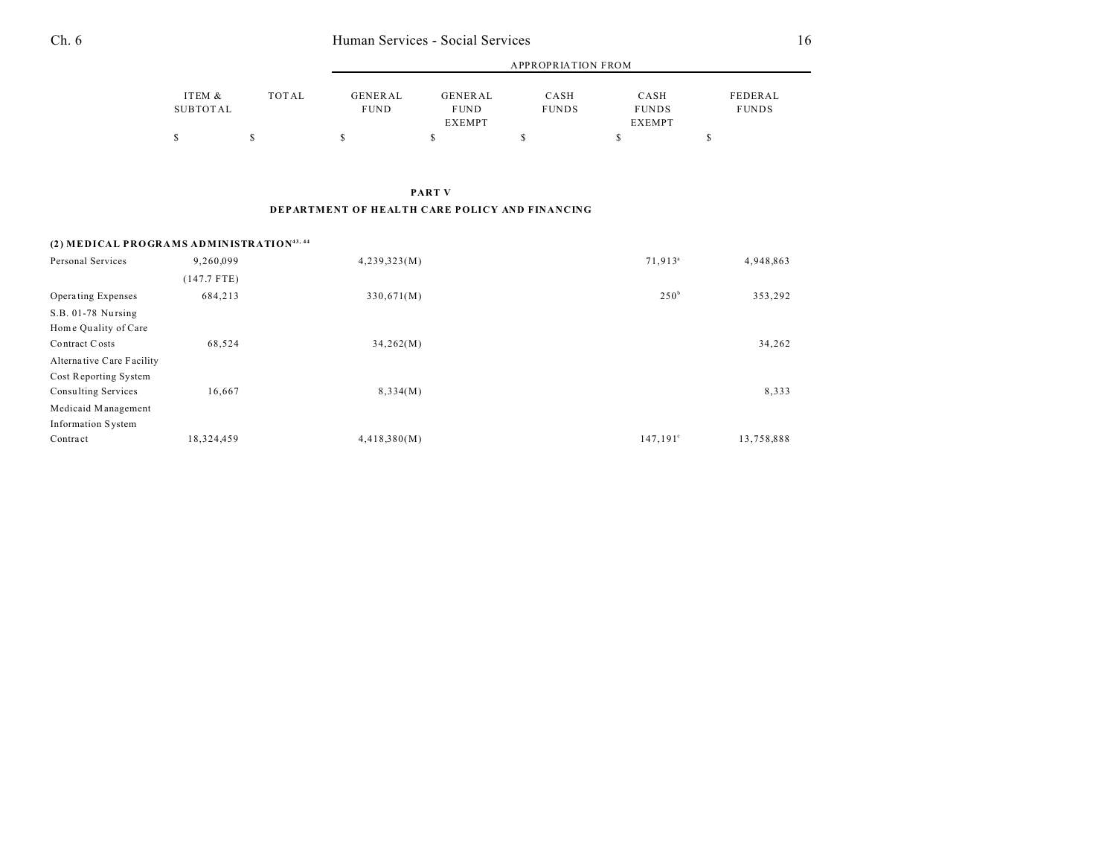|                    |              |                               | APPROPRIATION FROM     |                      |                      |                         |  |
|--------------------|--------------|-------------------------------|------------------------|----------------------|----------------------|-------------------------|--|
| ITEM &<br>SUBTOTAL | <b>TOTAL</b> | <b>GENERAL</b><br><b>FUND</b> | GENERAL<br><b>FUND</b> | CASH<br><b>FUNDS</b> | CASH<br><b>FUNDS</b> | FEDERAL<br><b>FUNDS</b> |  |
|                    |              |                               | <b>EXEMPT</b>          |                      | <b>EXEMPT</b>        |                         |  |
|                    |              |                               |                        |                      |                      |                         |  |

**PART V**

#### **DEPARTMENT OF HEALTH CARE POLICY AND FINANCING**

## **(2) MEDICAL PROGRAMS ADMINISTRATION43, 44**

| Personal Services         | 9,260,099     | 4,239,323(M) | 71,913 <sup>a</sup> | 4,948,863  |
|---------------------------|---------------|--------------|---------------------|------------|
|                           | $(147.7$ FTE) |              |                     |            |
| Operating Expenses        | 684,213       | 330,671(M)   | 250 <sup>b</sup>    | 353,292    |
| S.B. 01-78 Nursing        |               |              |                     |            |
| Home Quality of Care      |               |              |                     |            |
| Contract Costs            | 68,524        | 34,262(M)    |                     | 34,262     |
| Alternative Care Facility |               |              |                     |            |
| Cost Reporting System     |               |              |                     |            |
| Consulting Services       | 16,667        | 8,334(M)     |                     | 8,333      |
| Medicaid Management       |               |              |                     |            |
| <b>Information System</b> |               |              |                     |            |
| Contract                  | 18,324,459    | 4,418,380(M) | 147,191°            | 13,758,888 |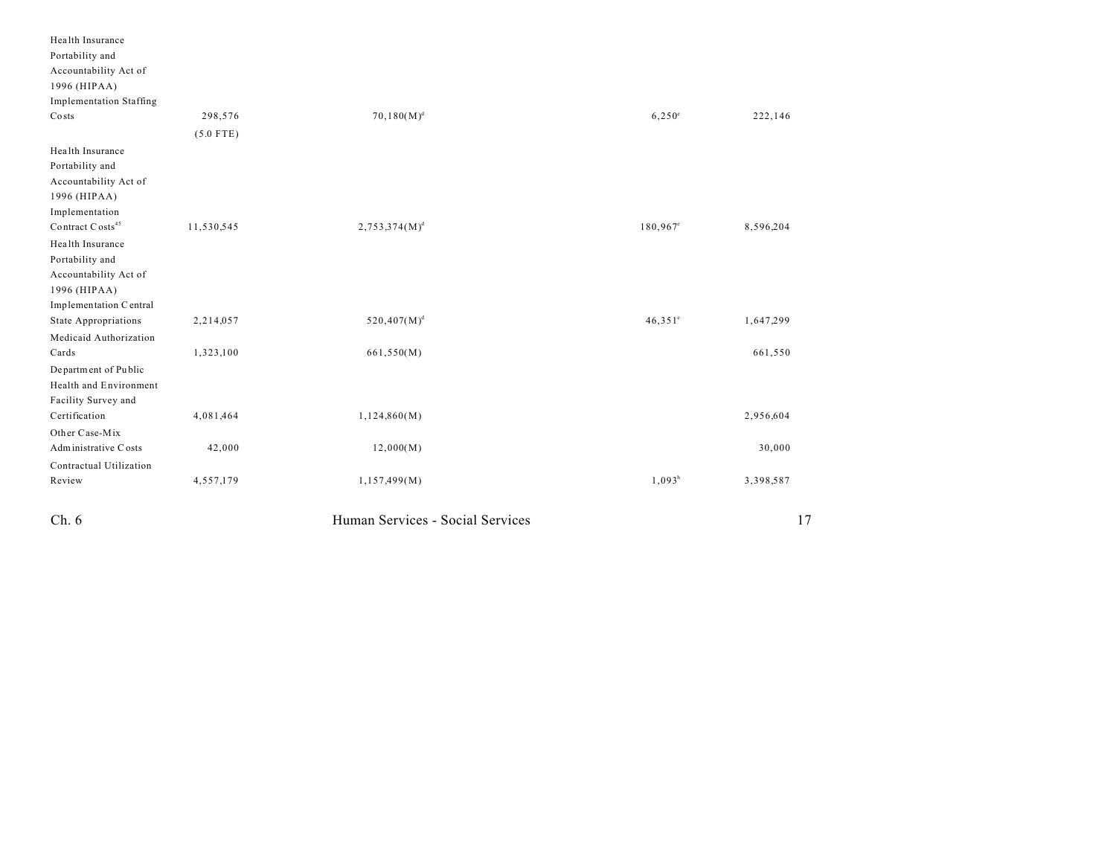| Ch.6                                           |             | Human Services - Social Services |                      | 17        |
|------------------------------------------------|-------------|----------------------------------|----------------------|-----------|
| Review                                         | 4,557,179   | 1,157,499(M)                     | $1,093^b$            | 3,398,587 |
| Contractual Utilization                        |             |                                  |                      |           |
| Administrative Costs                           | 42,000      | 12,000(M)                        |                      | 30,000    |
| Other Case-Mix                                 |             |                                  |                      |           |
| Certification                                  | 4,081,464   | 1,124,860(M)                     |                      | 2,956,604 |
| Facility Survey and                            |             |                                  |                      |           |
| Health and Environment                         |             |                                  |                      |           |
| Department of Public                           |             |                                  |                      |           |
| Cards                                          | 1,323,100   | 661,550(M)                       |                      | 661,550   |
| Medicaid Authorization                         |             |                                  |                      |           |
| <b>State Appropriations</b>                    | 2,214,057   | $520,407(M)^d$                   | $46,351$ °           | 1,647,299 |
| Implementation Central                         |             |                                  |                      |           |
| 1996 (HIPAA)                                   |             |                                  |                      |           |
| Accountability Act of                          |             |                                  |                      |           |
| Portability and                                |             |                                  |                      |           |
| Health Insurance                               |             |                                  |                      |           |
| Implementation<br>Contract Costs <sup>45</sup> | 11,530,545  | $2,753,374(M)^d$                 | 180,967 <sup>e</sup> | 8,596,204 |
| 1996 (HIPAA)                                   |             |                                  |                      |           |
| Accountability Act of                          |             |                                  |                      |           |
| Portability and                                |             |                                  |                      |           |
| Health Insurance                               |             |                                  |                      |           |
|                                                | $(5.0$ FTE) |                                  |                      |           |
| Costs                                          | 298,576     | $70,180(M)^d$                    | $6,250^{\circ}$      | 222,146   |
| <b>Implementation Staffing</b>                 |             |                                  |                      |           |
| 1996 (HIPAA)                                   |             |                                  |                      |           |
| Accountability Act of                          |             |                                  |                      |           |
| Portability and                                |             |                                  |                      |           |
| Health Insurance                               |             |                                  |                      |           |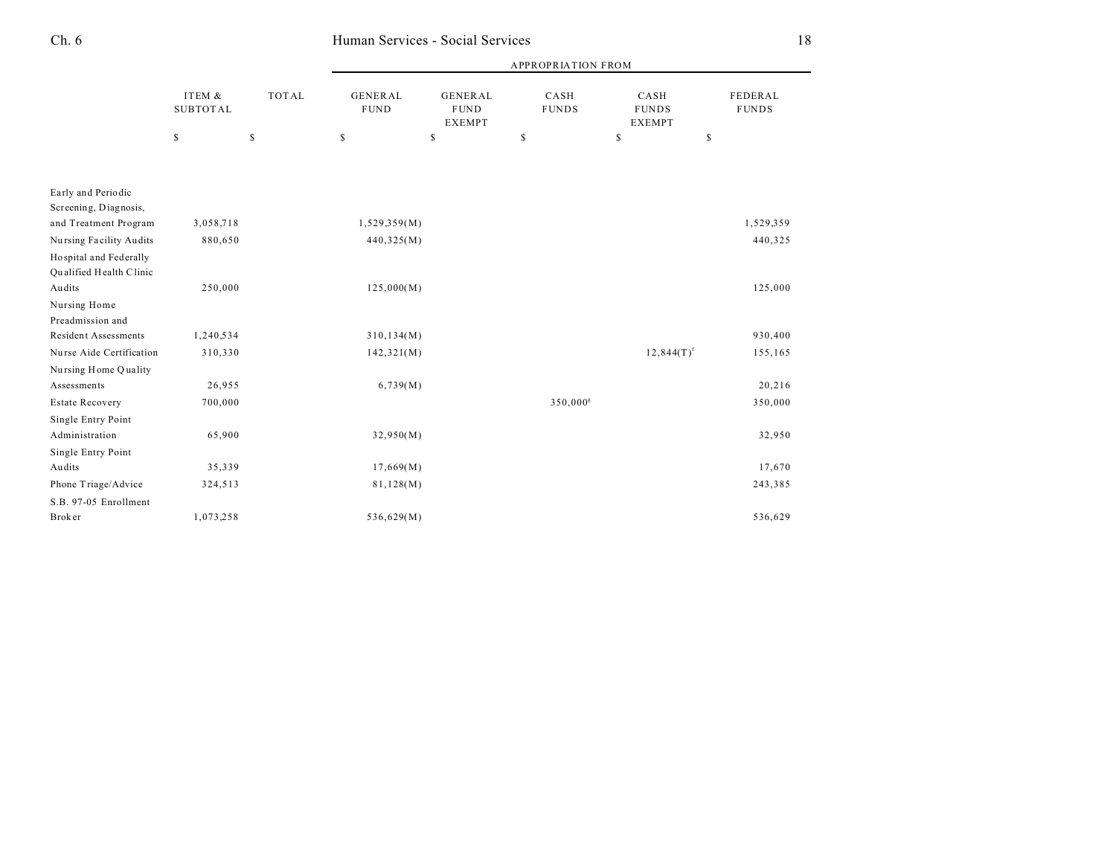|                                                   |                           |              | <b>APPROPRIATION FROM</b>     |                                                |                        |                                       |                         |  |
|---------------------------------------------------|---------------------------|--------------|-------------------------------|------------------------------------------------|------------------------|---------------------------------------|-------------------------|--|
|                                                   | ITEM &<br><b>SUBTOTAL</b> | <b>TOTAL</b> | <b>GENERAL</b><br><b>FUND</b> | <b>GENERAL</b><br><b>FUND</b><br><b>EXEMPT</b> | CASH<br><b>FUNDS</b>   | CASH<br><b>FUNDS</b><br><b>EXEMPT</b> | FEDERAL<br><b>FUNDS</b> |  |
|                                                   | $\mathbb S$               | $\mathbb{S}$ | \$                            | \$                                             | \$                     | \$<br>\$                              |                         |  |
|                                                   |                           |              |                               |                                                |                        |                                       |                         |  |
| Early and Periodic<br>Screening, Diagnosis,       |                           |              |                               |                                                |                        |                                       |                         |  |
| and Treatment Program                             | 3,058,718                 |              | 1,529,359(M)                  |                                                |                        |                                       | 1,529,359               |  |
| Nursing Facility Audits                           | 880,650                   |              | 440,325(M)                    |                                                |                        |                                       | 440,325                 |  |
| Hospital and Federally<br>Qualified Health Clinic |                           |              |                               |                                                |                        |                                       |                         |  |
| Audits                                            | 250,000                   |              | 125,000(M)                    |                                                |                        |                                       | 125,000                 |  |
| Nursing Home<br>Preadmission and                  |                           |              |                               |                                                |                        |                                       |                         |  |
| <b>Resident Assessments</b>                       | 1,240,534                 |              | 310, 134(M)                   |                                                |                        |                                       | 930,400                 |  |
| Nurse Aide Certification                          | 310,330                   |              | 142,321(M)                    |                                                |                        | $12,844(T)^f$                         | 155,165                 |  |
| Nursing Home Quality                              |                           |              |                               |                                                |                        |                                       |                         |  |
| Assessments                                       | 26,955                    |              | 6,739(M)                      |                                                |                        |                                       | 20,216                  |  |
| <b>Estate Recovery</b>                            | 700,000                   |              |                               |                                                | $350,000$ <sup>g</sup> |                                       | 350,000                 |  |
| Single Entry Point<br>Administration              | 65,900                    |              | 32,950(M)                     |                                                |                        |                                       | 32,950                  |  |
| Single Entry Point                                |                           |              |                               |                                                |                        |                                       |                         |  |
| Audits                                            | 35,339                    |              | 17,669(M)                     |                                                |                        |                                       | 17,670                  |  |
| Phone Triage/Advice                               | 324,513                   |              | 81,128(M)                     |                                                |                        |                                       | 243,385                 |  |
| S.B. 97-05 Enrollment                             |                           |              |                               |                                                |                        |                                       |                         |  |
| Brok er                                           | 1,073,258                 |              | 536,629(M)                    |                                                |                        |                                       | 536,629                 |  |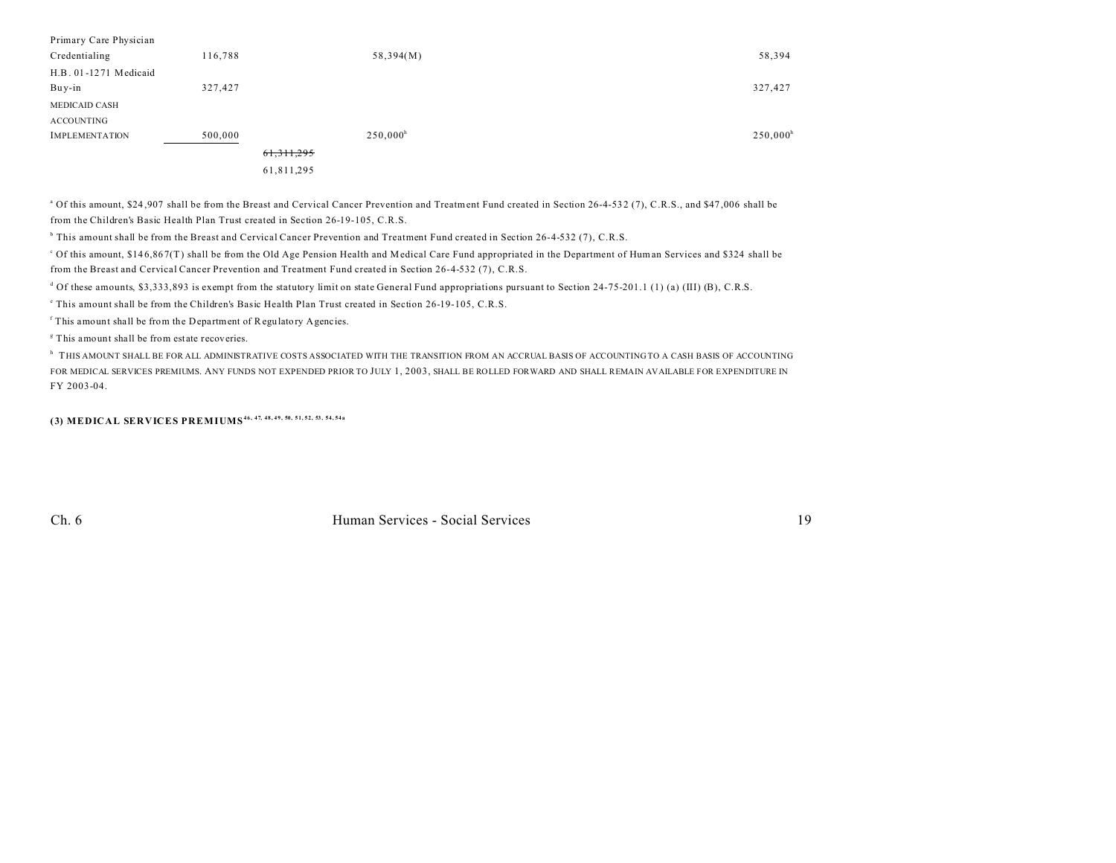| Primary Care Physician |              |                   |             |
|------------------------|--------------|-------------------|-------------|
| Credentialing          | 116,788      | 58,394(M)         | 58,394      |
| H.B. 01-1271 Medicaid  |              |                   |             |
| Buy-in                 | 327,427      |                   | 327,427     |
| <b>MEDICAID CASH</b>   |              |                   |             |
| <b>ACCOUNTING</b>      |              |                   |             |
| <b>IMPLEMENTATION</b>  | 500,000      | $250,000^{\rm h}$ | $250,000^h$ |
|                        | 61, 311, 295 |                   |             |
|                        | 61,811,295   |                   |             |
|                        |              |                   |             |

<sup>a</sup> Of this amount, \$24,907 shall be from the Breast and Cervical Cancer Prevention and Treatment Fund created in Section 26-4-532 (7), C.R.S., and \$47,006 shall be from the Children's Basic Health Plan Trust created in Section 26-19-105, C.R.S.

b This amount shall be from the Breast and Cervical Cancer Prevention and Treatment Fund created in Section 26-4-532 (7), C.R.S.

c Of this amount, \$14 6,86 7(T) shall be from the Old Age Pension Health and Medical Care Fund appropriated in the Department of Human Services and \$324 shall be from the Breast and Cervical Cancer Prevention and Treatment Fund created in Section 26-4-532 (7), C.R.S.

<sup>d</sup> Of these amounts, \$3,333,893 is exempt from the statutory limit on state General Fund appropriations pursuant to Section 24-75-201.1 (1) (a) (III) (B), C.R.S.

e This amount shall be from the Children's Basic Health Plan Trust created in Section 26-19-105, C.R.S.

<sup>f</sup> This amount shall be from the Department of Regulatory Agencies.

<sup>8</sup> This amount shall be from estate recoveries.

 $^{\rm h}$  THIS AMOUNT SHALL BE FOR ALL ADMINISTRATIVE COSTS ASSOCIATED WITH THE TRANSITION FROM AN ACCRUAL BASIS OF ACCOUNTING TO A CASH BASIS OF ACCOUNTING FOR MEDICAL SERVICES PREMIUMS. ANY FUNDS NOT EXPENDED PRIOR TO JULY 1, 2003, SHALL BE ROLLED FORWARD AND SHALL REMAIN AVAILABLE FOR EXPENDITURE IN FY 2003-04.

**(3) MEDICAL SERVICES PREMIUMS46, 47, 48, 49, 50, 51, 52, 53, 54, 54a**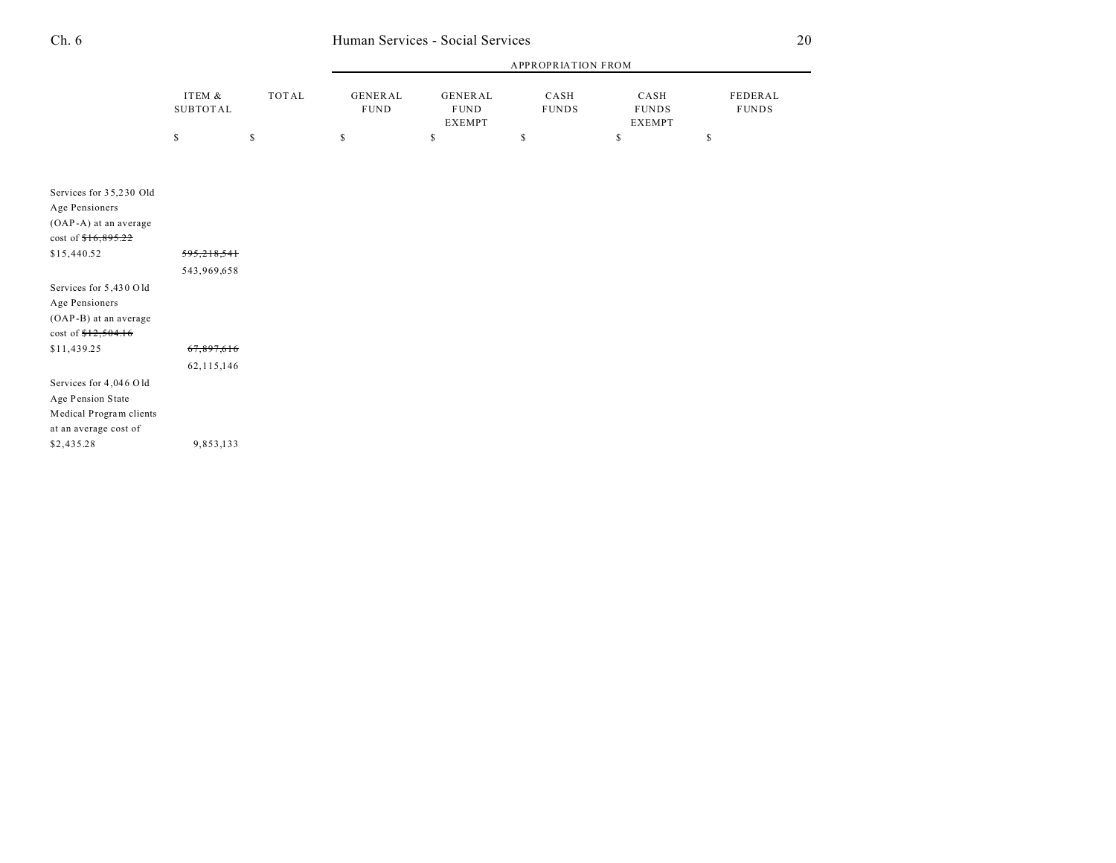|          |       | APPROPRIATION FROM |               |              |               |              |
|----------|-------|--------------------|---------------|--------------|---------------|--------------|
| ITEM &   | TOTAL | GENERAL            | GENERAL       | CASH         | CASH          | FEDERAL      |
| SUBTOTAL |       | <b>FUND</b>        | <b>FUND</b>   | <b>FUNDS</b> | <b>FUNDS</b>  | <b>FUNDS</b> |
|          |       |                    | <b>EXEMPT</b> |              | <b>EXEMPT</b> |              |
|          |       |                    |               |              |               |              |

| Services for 35,230 Old<br>Age Pensioners<br>(OAP-A) at an average<br>cost of $$16,895.22$      |              |
|-------------------------------------------------------------------------------------------------|--------------|
| \$15,440.52                                                                                     | 595,218,541  |
|                                                                                                 | 543,969,658  |
| Services for 5,430 Old<br>Age Pensioners<br>(OAP-B) at an average<br>cost of $$12,504.16$       |              |
| \$11,439.25                                                                                     | 67,897,616   |
|                                                                                                 | 62, 115, 146 |
| Services for 4,046 Old<br>Age Pension State<br>Medical Program clients<br>at an average cost of |              |
| \$2,435.28                                                                                      | 9,853,133    |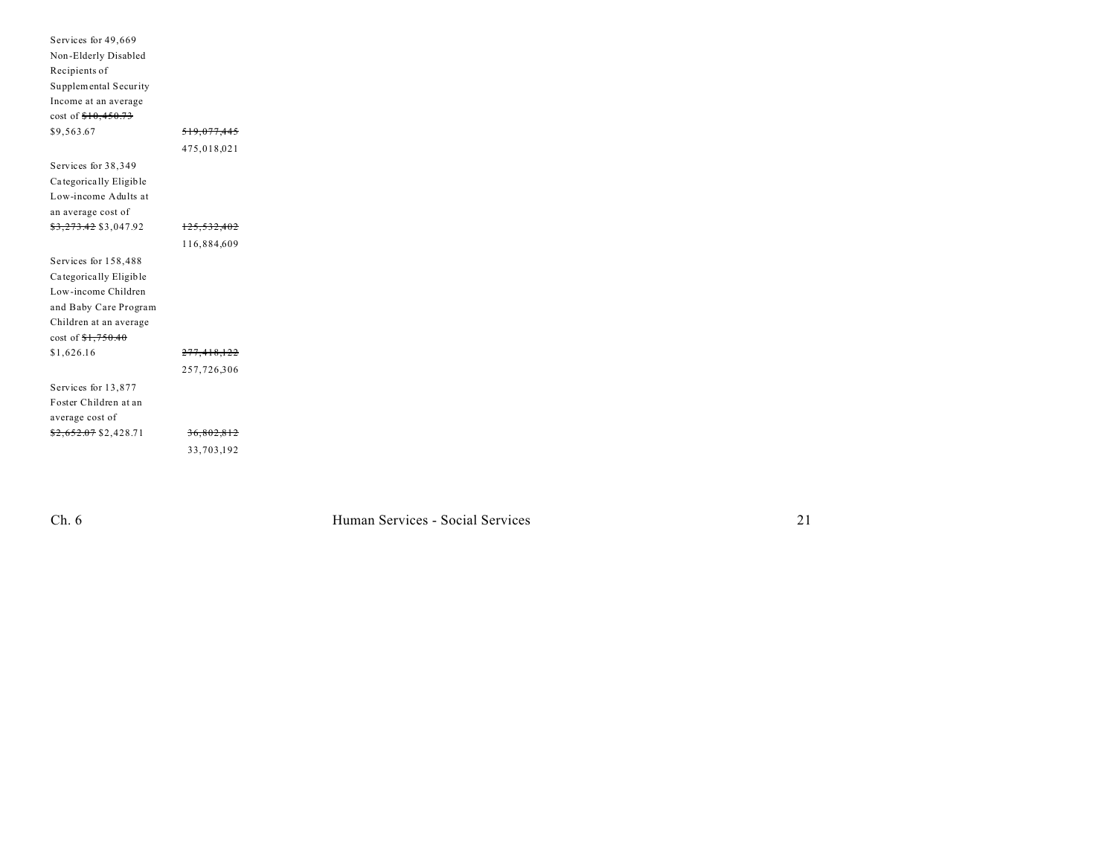| Services for 49,669    |                        |  |
|------------------------|------------------------|--|
| Non-Elderly Disabled   |                        |  |
| Recipients of          |                        |  |
| Supplemental Security  |                        |  |
| Income at an average   |                        |  |
| $cost of $10,450.73$   |                        |  |
| \$9,563.67             | <del>519,077,445</del> |  |
|                        | 475,018,021            |  |
| Services for 38,349    |                        |  |
| Categorically Eligible |                        |  |
| Low-income Adults at   |                        |  |
| an average cost of     |                        |  |
| \$3,273.42 \$3,047.92  | 125,532,402            |  |
|                        | 116,884,609            |  |
| Services for 158,488   |                        |  |
| Categorically Eligible |                        |  |
| Low-income Children    |                        |  |
| and Baby Care Program  |                        |  |
| Children at an average |                        |  |
| cost of $1,750.40$     |                        |  |
| \$1,626.16             | 277,418,122            |  |
|                        | 257,726,306            |  |
| Services for 13,877    |                        |  |
| Foster Children at an  |                        |  |
| average cost of        |                        |  |
| $$2,652.07$ \$2,428.71 | 36,802,812             |  |
|                        | 33,703,192             |  |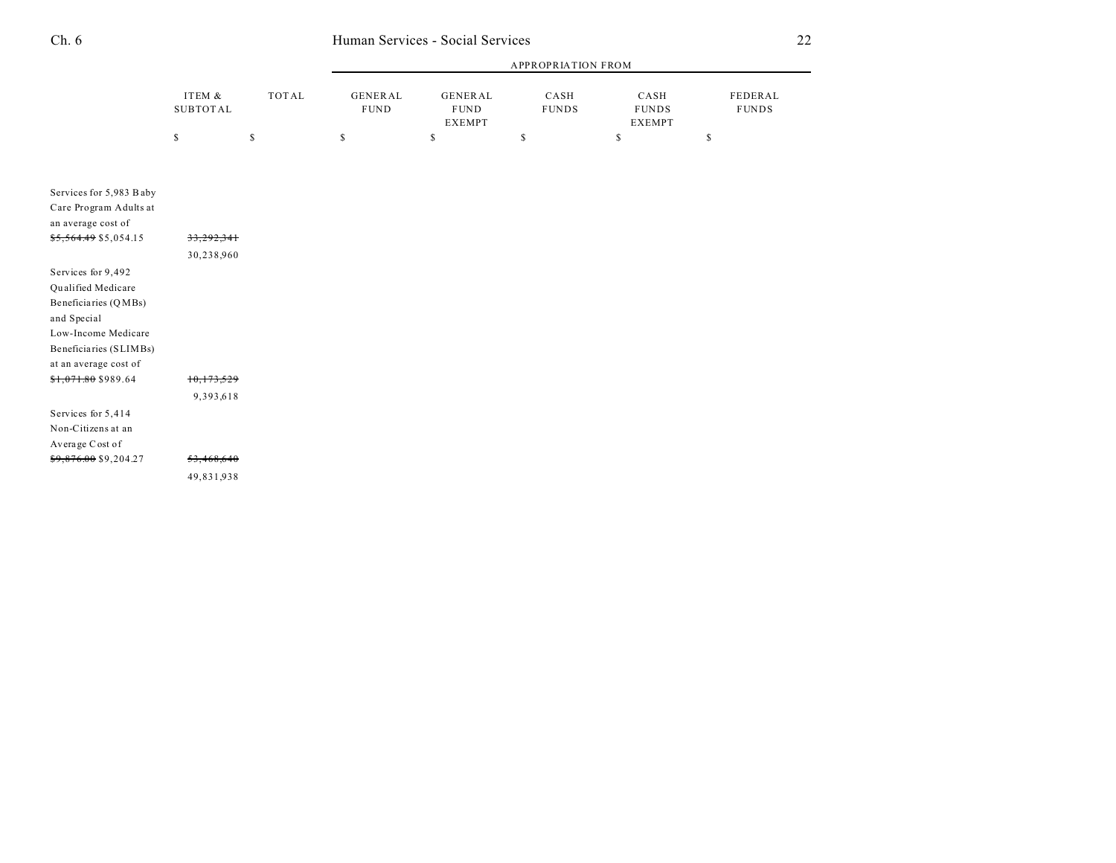|          |       | APPROPRIATION FROM |                              |              |                        |              |  |
|----------|-------|--------------------|------------------------------|--------------|------------------------|--------------|--|
| ITEM &   | TOTAL | <b>GENERAL</b>     | GENERAL                      | CASH         | CASH                   | FEDERAL      |  |
| SUBTOTAL |       | <b>FUND</b>        | <b>FUND</b><br><b>EXEMPT</b> | <b>FUNDS</b> | <b>FUNDS</b><br>EXEMPT | <b>FUNDS</b> |  |
|          |       |                    |                              |              |                        |              |  |

| Services for 5,983 Baby          |            |
|----------------------------------|------------|
| Care Program Adults at           |            |
| an average cost of               |            |
| <del>\$5,564.49</del> \$5,054.15 | 33.292.341 |
|                                  | 30,238,960 |
| Services for 9,492               |            |
| Qualified Medicare               |            |
| Beneficiaries (QMBs)             |            |
| and Special                      |            |
| Low-Income Medicare              |            |
| Beneficiaries (SLIMBs)           |            |
| at an average cost of            |            |
| <del>\$1,071.80</del> \$989.64   | 10,173,529 |
|                                  | 9,393,618  |
| Services for 5,414               |            |
| Non-Citizens at an               |            |
| Average Cost of                  |            |
| <del>\$9,876.00</del> \$9,204.27 | 53,468,640 |
|                                  | 49,831,938 |
|                                  |            |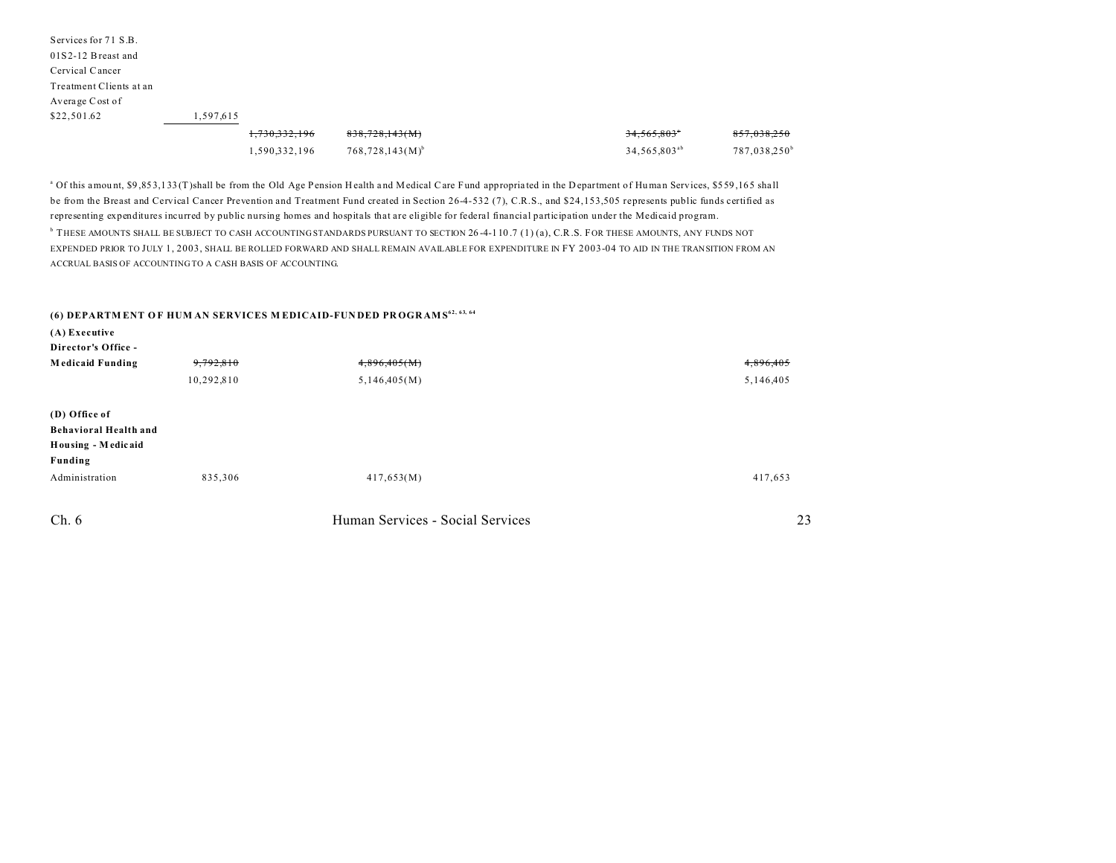| Services for 71 S.B.    |           |               |                      |                          |                          |
|-------------------------|-----------|---------------|----------------------|--------------------------|--------------------------|
| $01S2-12$ Breast and    |           |               |                      |                          |                          |
| Cervical Cancer         |           |               |                      |                          |                          |
| Treatment Clients at an |           |               |                      |                          |                          |
| Average Cost of         |           |               |                      |                          |                          |
| \$22,501.62             | 1,597,615 |               |                      |                          |                          |
|                         |           | 1,730,332,196 | 838,728,143(M)       | 34,565,803°              | 857,038,250              |
|                         |           | 1,590,332,196 | $768,728,143(M)^{b}$ | 34,565,803 <sup>ab</sup> | 787,038,250 <sup>b</sup> |

<sup>a</sup> Of this amount, \$9,853,133 (T)shall be from the Old Age Pension Health and Medical Care Fund appropriated in the Department of Human Services, \$559,165 shall be from the Breast and Cervical Cancer Prevention and Treatment Fund created in Section 26-4-532 (7), C.R.S., and \$24,153,505 represents public funds certified as representing expenditures incurred by public nursing homes and hospitals that are eligible for federal financial participation under the Medicaid program.

<sup>b</sup> THESE AMOUNTS SHALL BE SUBJECT TO CASH ACCOUNTING STANDARDS PURSUANT TO SECTION 26-4-110.7 (1) (a), C.R.S. FOR THESE AMOUNTS, ANY FUNDS NOT EXPENDED PRIOR TO JULY 1, 2003, SHALL BE ROLLED FORWARD AND SHALL REMAIN AVAILABLE FOR EXPENDITURE IN FY 2003-04 TO AID IN THE TRANSITION FROM AN ACCRUAL BASIS OF ACCOUNTING TO A CASH BASIS OF ACCOUNTING.

#### **(6) DEPARTM ENT O F HUM AN SERVICES M EDICAID-FUN DED PR OGR AMS 62, 63, 64**

| $(A)$ Executive<br>Director's Office - |            |                                  |           |
|----------------------------------------|------------|----------------------------------|-----------|
| <b>Medicaid Funding</b>                | 9,792,810  | 4,896,405(M)                     | 4,896,405 |
|                                        | 10,292,810 | 5,146,405(M)                     | 5,146,405 |
| (D) Office of                          |            |                                  |           |
| Behavioral Health and                  |            |                                  |           |
| Housing - Medicaid                     |            |                                  |           |
| Funding                                |            |                                  |           |
| Administration                         | 835,306    | 417,653(M)                       | 417,653   |
| Ch. 6                                  |            | Human Services - Social Services | 23        |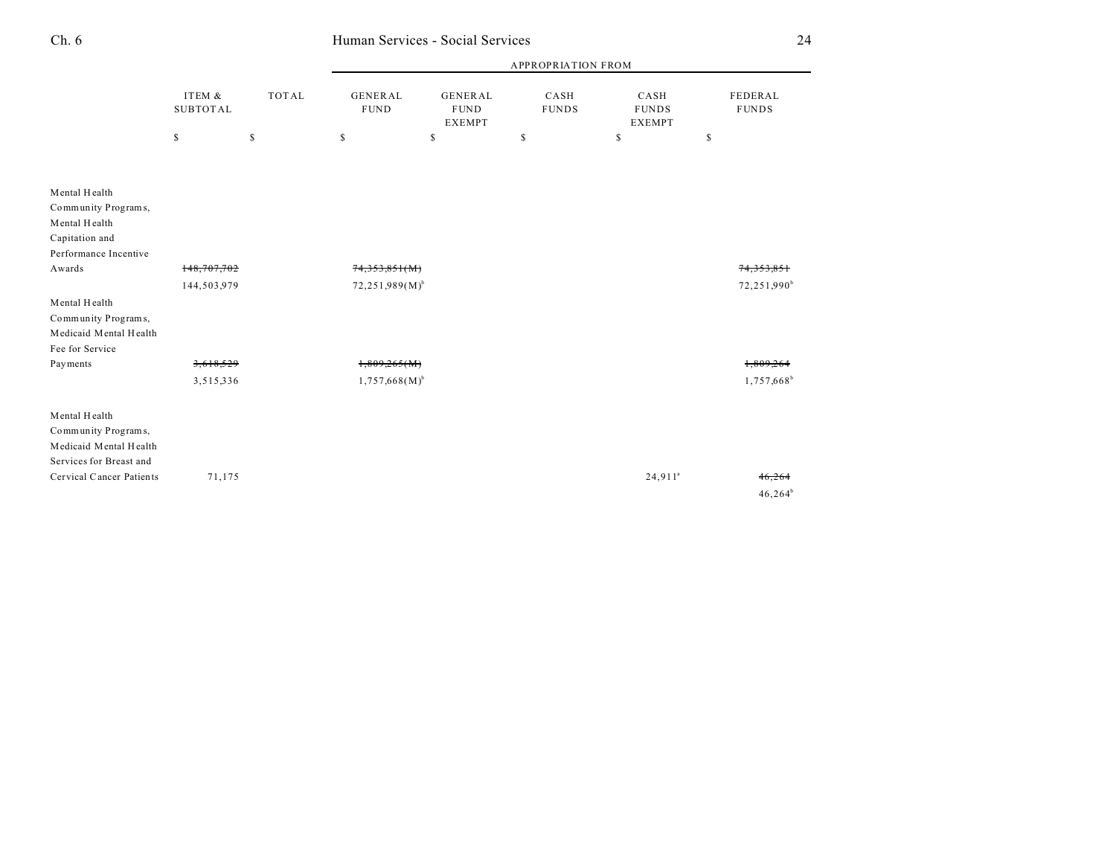|                                           | ITEM &<br><b>SUBTOTAL</b> | <b>TOTAL</b> | <b>APPROPRIATION FROM</b>                                                       |    |                      |                                       |                         |  |
|-------------------------------------------|---------------------------|--------------|---------------------------------------------------------------------------------|----|----------------------|---------------------------------------|-------------------------|--|
|                                           |                           |              | <b>GENERAL</b><br><b>GENERAL</b><br><b>FUND</b><br><b>FUND</b><br><b>EXEMPT</b> |    | CASH<br><b>FUNDS</b> | CASH<br><b>FUNDS</b><br><b>EXEMPT</b> | FEDERAL<br><b>FUNDS</b> |  |
|                                           | \$                        | \$           | \$                                                                              | \$ | \$                   | \$                                    | \$                      |  |
|                                           |                           |              |                                                                                 |    |                      |                                       |                         |  |
| Mental Health                             |                           |              |                                                                                 |    |                      |                                       |                         |  |
| Community Programs,                       |                           |              |                                                                                 |    |                      |                                       |                         |  |
| Mental Health                             |                           |              |                                                                                 |    |                      |                                       |                         |  |
| Capitation and                            |                           |              |                                                                                 |    |                      |                                       |                         |  |
| Performance Incentive<br>Awards           | 148,707,702               |              |                                                                                 |    |                      |                                       |                         |  |
|                                           |                           |              | 74,353,851(M)                                                                   |    |                      |                                       | <del>74.353.851</del>   |  |
|                                           | 144,503,979               |              | $72,251,989(M)^{b}$                                                             |    |                      |                                       | 72,251,990 <sup>b</sup> |  |
| Mental Health                             |                           |              |                                                                                 |    |                      |                                       |                         |  |
| Community Programs,                       |                           |              |                                                                                 |    |                      |                                       |                         |  |
| Medicaid Mental Health<br>Fee for Service |                           |              |                                                                                 |    |                      |                                       |                         |  |
| Payments                                  | 3,618,529                 |              | 1,809,265(M)                                                                    |    |                      |                                       | 1,809,26                |  |
|                                           |                           |              |                                                                                 |    |                      |                                       |                         |  |
|                                           | 3,515,336                 |              | $1,757,668(M)^{b}$                                                              |    |                      |                                       | 1,757,668 <sup>b</sup>  |  |
| Mental Health                             |                           |              |                                                                                 |    |                      |                                       |                         |  |
| Community Programs,                       |                           |              |                                                                                 |    |                      |                                       |                         |  |
| Medicaid Mental Health                    |                           |              |                                                                                 |    |                      |                                       |                         |  |
| Services for Breast and                   |                           |              |                                                                                 |    |                      |                                       |                         |  |
| Cervical Cancer Patients                  | 71,175                    |              |                                                                                 |    |                      | $24,911$ <sup>a</sup>                 | 46,264                  |  |
|                                           |                           |              |                                                                                 |    |                      |                                       | $46,264^b$              |  |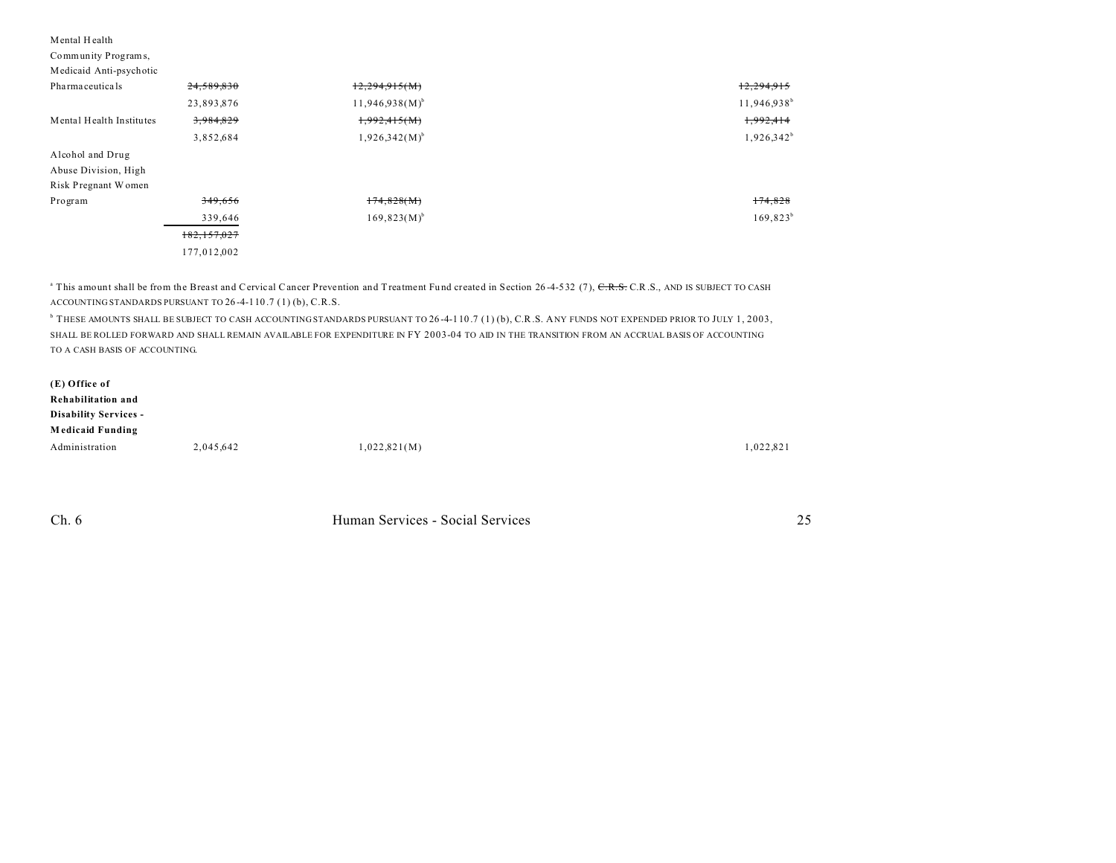| Mental Health<br>Community Programs,<br>Medicaid Anti-psychotic |               |                     |                |
|-----------------------------------------------------------------|---------------|---------------------|----------------|
| Pharmaceuticals                                                 | 24,589,830    | 12,294,915(M)       | 12,294,915     |
|                                                                 | 23,893,876    | $11,946,938(M)^{b}$ | $11,946,938^b$ |
| Mental Health Institutes                                        | 3,984,829     | 1,992,415(M)        | 1,992,414      |
|                                                                 | 3,852,684     | $1,926,342(M)^{b}$  | $1,926,342^b$  |
| Alcohol and Drug<br>Abuse Division, High<br>Risk Pregnant Women |               |                     |                |
| Program                                                         | 349,656       | 174,828(M)          | 174,828        |
|                                                                 | 339,646       | $169,823(M)^{b}$    | $169,823^b$    |
|                                                                 | 182, 157, 027 |                     |                |
|                                                                 | 177,012,002   |                     |                |

<sup>a</sup> This amount shall be from the Breast and Cervical Cancer Prevention and Treatment Fund created in Section 26-4-532 (7), C.R.S. C.R.S., AND IS SUBJECT TO CASH ACCOUNTING STANDARDS PURSUANT TO 26 -4-110 .7 (1) (b), C.R.S.

b THESE AMOUNTS SHALL BE SUBJECT TO CASH ACCOUNTING STANDARDS PURSUANT TO 26 -4-110 .7 (1) (b), C.R.S. ANY FUNDS NOT EXPENDED PRIOR TO JULY 1, 2003, SHALL BE ROLLED FORWARD AND SHALL REMAIN AVAILABLE FOR EXPENDITURE IN FY 2003-04 TO AID IN THE TRANSITION FROM AN ACCRUAL BASIS OF ACCOUNTING TO A CASH BASIS OF ACCOUNTING.

| (E) Office of                |           |              |           |
|------------------------------|-----------|--------------|-----------|
| Rehabilitation and           |           |              |           |
| <b>Disability Services -</b> |           |              |           |
| <b>Medicaid Funding</b>      |           |              |           |
| Administration               | 2,045,642 | 1,022,821(M) | 1,022,821 |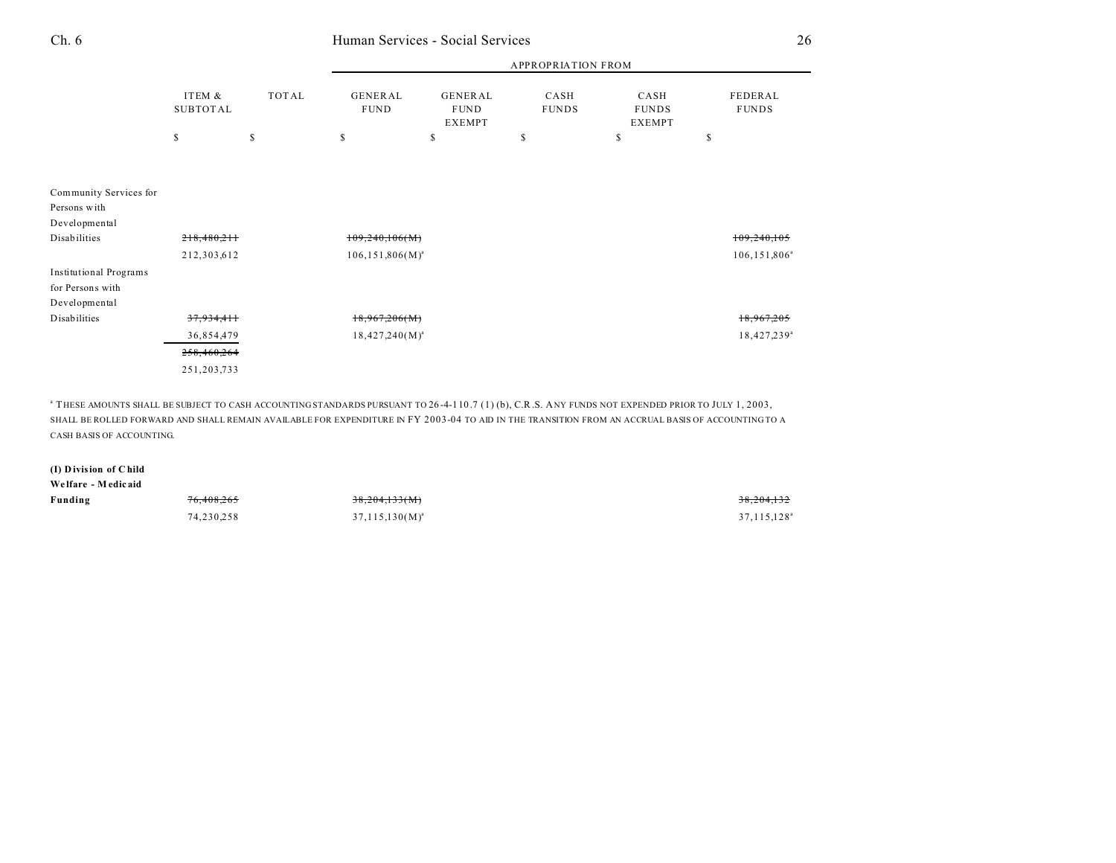|                               |                           |       | <b>APPROPRIATION FROM</b> |                                         |                      |                                       |               |                         |
|-------------------------------|---------------------------|-------|---------------------------|-----------------------------------------|----------------------|---------------------------------------|---------------|-------------------------|
|                               | ITEM &<br><b>SUBTOTAL</b> | TOTAL | GENERAL<br><b>FUND</b>    | GENERAL<br><b>FUND</b><br><b>EXEMPT</b> | CASH<br><b>FUNDS</b> | CASH<br><b>FUNDS</b><br><b>EXEMPT</b> |               | FEDERAL<br><b>FUNDS</b> |
|                               | \$                        | \$    | $\mathbb{S}$              | \$                                      | \$                   | \$                                    | <sup>\$</sup> |                         |
|                               |                           |       |                           |                                         |                      |                                       |               |                         |
| Community Services for        |                           |       |                           |                                         |                      |                                       |               |                         |
| Persons with                  |                           |       |                           |                                         |                      |                                       |               |                         |
| Developmental                 |                           |       |                           |                                         |                      |                                       |               |                         |
| Disabilities                  | 218,480,211               |       | 109,240,106(M)            |                                         |                      |                                       |               | 109,240,105             |
|                               | 212,303,612               |       | $106, 151, 806(M)^{a}$    |                                         |                      |                                       |               | $106, 151, 806^{\circ}$ |
| <b>Institutional Programs</b> |                           |       |                           |                                         |                      |                                       |               |                         |
| for Persons with              |                           |       |                           |                                         |                      |                                       |               |                         |
| Developmental                 |                           |       |                           |                                         |                      |                                       |               |                         |
| Disabilities                  | 37,934,411                |       | 18,967,206(M)             |                                         |                      |                                       |               | 18,967,205              |
|                               | 36,854,479                |       | $18,427,240(M)^a$         |                                         |                      |                                       |               | 18,427,239 <sup>a</sup> |
|                               | 258,460,264               |       |                           |                                         |                      |                                       |               |                         |
|                               | 251, 203, 733             |       |                           |                                         |                      |                                       |               |                         |

a THESE AMOUNTS SHALL BE SUBJECT TO CASH ACCOUNTING STANDARDS PURSUANT TO 26 -4-110 .7 (1) (b), C.R.S. ANY FUNDS NOT EXPENDED PRIOR TO JULY 1, 2003, SHALL BE ROLLED FORWARD AND SHALL REMAIN AVAILABLE FOR EXPENDITURE IN FY 2003-04 TO AID IN THE TRANSITION FROM AN ACCRUAL BASIS OF ACCOUNTING TO A CASH BASIS OF ACCOUNTING.

#### **(I) D ivision of C hild**

| Welfare - Medicaid |                       |                     |                         |
|--------------------|-----------------------|---------------------|-------------------------|
| Funding            | <del>76,408,265</del> | 38,204,133(M)       | 38,204,132              |
|                    | 74,230,258            | $37,115,130(M)^{a}$ | 37,115,128 <sup>a</sup> |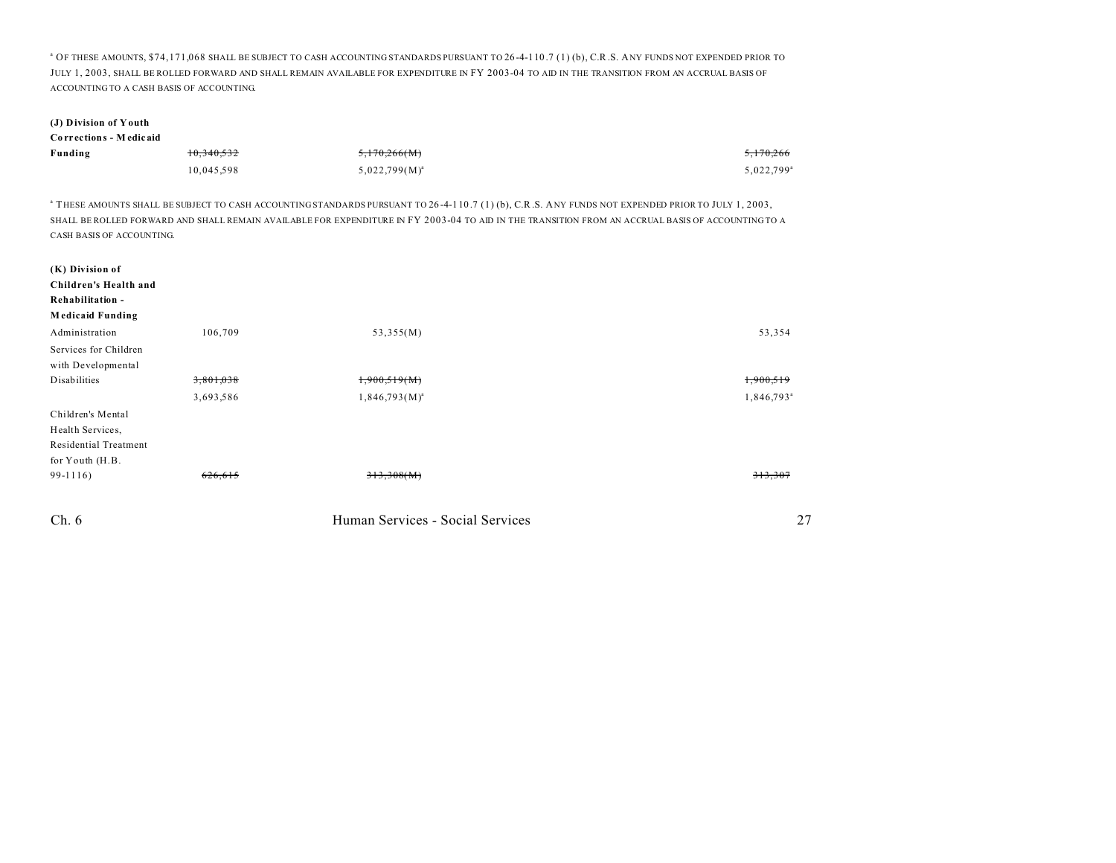<sup>a</sup> OF THESE AMOUNTS, \$74,171,068 SHALL BE SUBJECT TO CASH ACCOUNTING STANDARDS PURSUANT TO 26-4-110.7 (1) (b), C.R.S. ANY FUNDS NOT EXPENDED PRIOR TO JULY 1, 2003, SHALL BE ROLLED FORWARD AND SHALL REMAIN AVAILABLE FOR EXPENDITURE IN FY 2003-04 TO AID IN THE TRANSITION FROM AN ACCRUAL BASIS OF ACCOUNTING TO A CASH BASIS OF ACCOUNTING.

### **(J) Division of Y outh**

| Corrections - Medicaid |            |                    |                        |
|------------------------|------------|--------------------|------------------------|
| Funding                | 10,340,532 | 5,170,266(M)       | 5,170,266              |
|                        | 10,045,598 | $5,022,799(M)^{a}$ | 5.022.799 <sup>a</sup> |

a THESE AMOUNTS SHALL BE SUBJECT TO CASH ACCOUNTING STANDARDS PURSUANT TO 26 -4-110 .7 (1) (b), C.R.S. ANY FUNDS NOT EXPENDED PRIOR TO JULY 1, 2003, SHALL BE ROLLED FORWARD AND SHALL REMAIN AVAILABLE FOR EXPENDITURE IN FY 2003-04 TO AID IN THE TRANSITION FROM AN ACCRUAL BASIS OF ACCOUNTING TO A CASH BASIS OF ACCOUNTING.

| (K) Division of              |           |                                  |                        |
|------------------------------|-----------|----------------------------------|------------------------|
| Children's Health and        |           |                                  |                        |
| Rehabilitation -             |           |                                  |                        |
| <b>Medicaid Funding</b>      |           |                                  |                        |
| Administration               | 106,709   | 53,355(M)                        | 53,354                 |
| Services for Children        |           |                                  |                        |
| with Developmental           |           |                                  |                        |
| Disabilities                 | 3,801,038 | 1,900,519(M)                     | 1,900,519              |
|                              | 3,693,586 | $1,846,793(M)^{a}$               | 1,846,793 <sup>a</sup> |
| Children's Mental            |           |                                  |                        |
| Health Services,             |           |                                  |                        |
| <b>Residential Treatment</b> |           |                                  |                        |
| for Youth (H.B.              |           |                                  |                        |
| $99-1116$                    | 626,615   | 313,308(M)                       | 313,307                |
| Ch.6                         |           | Human Services - Social Services | 27                     |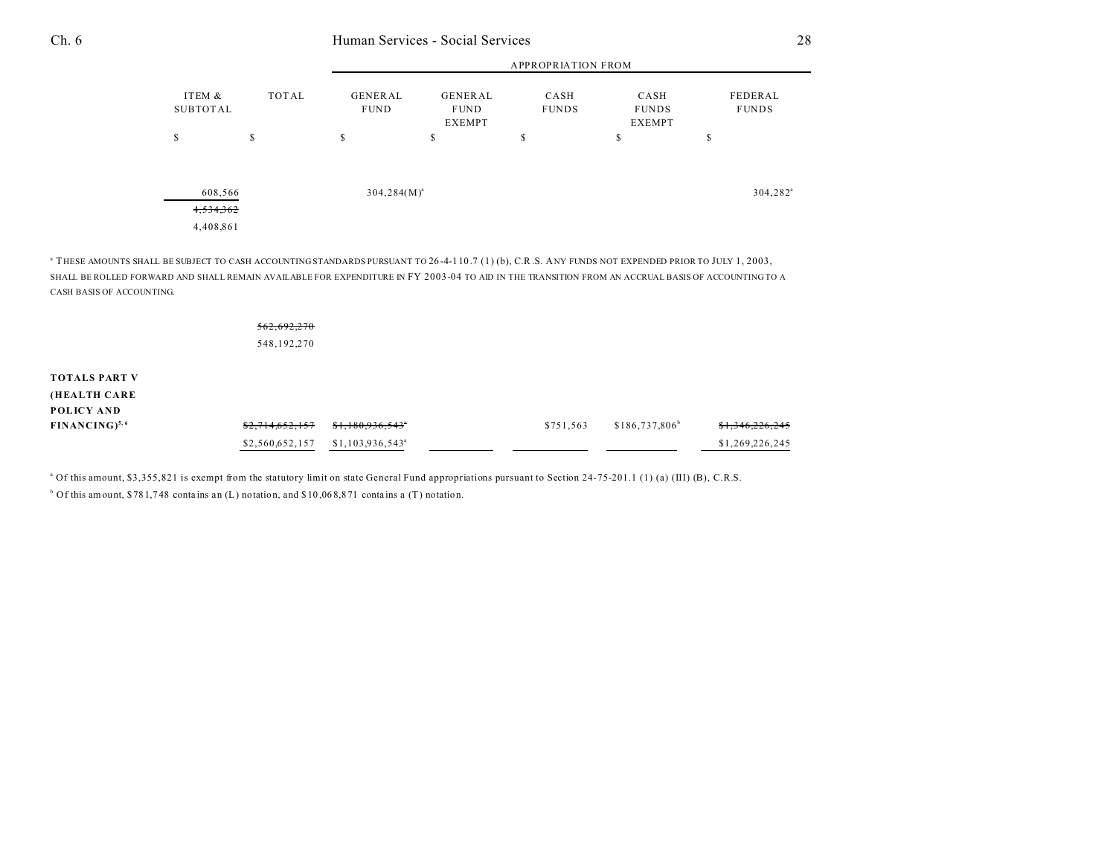|                        |              | <b>APPROPRIATION FROM</b>     |                                                |                      |                                       |                         |  |  |
|------------------------|--------------|-------------------------------|------------------------------------------------|----------------------|---------------------------------------|-------------------------|--|--|
| ITEM &<br>SUBTOTAL     | <b>TOTAL</b> | <b>GENERAL</b><br><b>FUND</b> | <b>GENERAL</b><br><b>FUND</b><br><b>EXEMPT</b> | CASH<br><b>FUNDS</b> | CASH<br><b>FUNDS</b><br><b>EXEMPT</b> | FEDERAL<br><b>FUNDS</b> |  |  |
| S                      | \$           | S                             | \$                                             | \$                   | \$                                    | \$                      |  |  |
| 4,534,362<br>4,408,861 | 608,566      | $304, 284(M)^{a}$             |                                                |                      |                                       | $304, 282$ <sup>a</sup> |  |  |

a THESE AMOUNTS SHALL BE SUBJECT TO CASH ACCOUNTING STANDARDS PURSUANT TO 26 -4-110 .7 (1) (b), C.R.S. ANY FUNDS NOT EXPENDED PRIOR TO JULY 1, 2003, SHALL BE ROLLED FORWARD AND SHALL REMAIN AVAILABLE FOR EXPENDITURE IN FY 2003-04 TO AID IN THE TRANSITION FROM AN ACCRUAL BASIS OF ACCOUNTING TO A CASH BASIS OF ACCOUNTING.

|                      | 562,692,270     |                               |           |                  |                 |
|----------------------|-----------------|-------------------------------|-----------|------------------|-----------------|
|                      | 548,192,270     |                               |           |                  |                 |
| <b>TOTALS PART V</b> |                 |                               |           |                  |                 |
| (HEALTH CARE         |                 |                               |           |                  |                 |
| POLICY AND           |                 |                               |           |                  |                 |
| $FINANCING)^{5,6}$   | \$2,714,652,157 | \$1,180,936,543"              | \$751,563 | $$186,737,806^b$ | \$1,346,226,245 |
|                      | \$2,560,652,157 | $$1,103,936,543$ <sup>a</sup> |           |                  | \$1,269,226,245 |

<sup>a</sup> Of this amount, \$3,355,821 is exempt from the statutory limit on state General Fund appropriations pursuant to Section 24-75-201.1 (1) (a) (III) (B), C.R.S.  $b$  Of this amount, \$78 1,748 contains an (L) notation, and \$10,068,871 contains a (T) notation.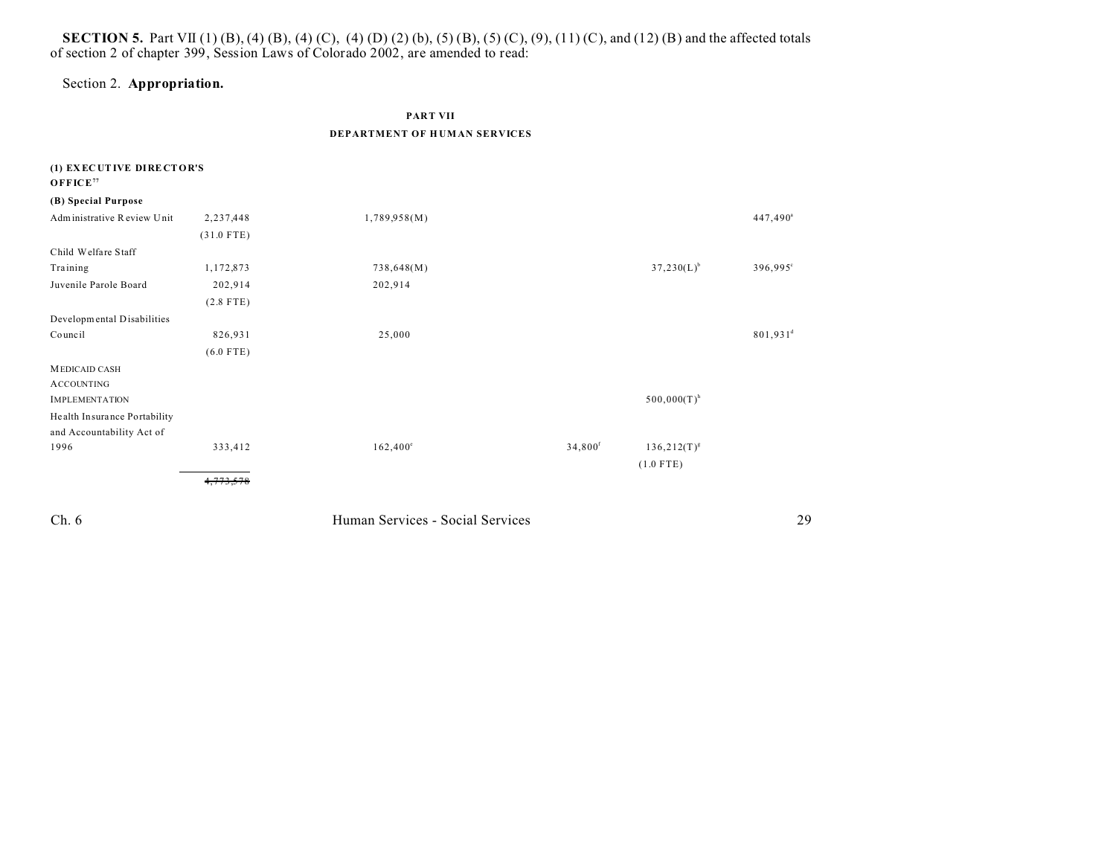## **SECTION 5.** Part VII (1) (B), (4) (B), (4) (C), (4) (D) (2) (b), (5) (B), (5) (C), (9), (11) (C), and (12) (B) and the affected totals of section 2 of chapter 399, Session Laws of Colorado 2002, are amended to read:

## Section 2. **Appropriation.**

## **PART VII DEPARTMENT OF H UM AN SERVICES**

| (1) EXECUTIVE DIRECTOR'S     |              |                                  |                     |                           |                      |
|------------------------------|--------------|----------------------------------|---------------------|---------------------------|----------------------|
| OFFICE <sup>77</sup>         |              |                                  |                     |                           |                      |
| (B) Special Purpose          |              |                                  |                     |                           |                      |
| Administrative Review Unit   | 2,237,448    | 1,789,958(M)                     |                     |                           | $447,490^{\circ}$    |
|                              | $(31.0$ FTE) |                                  |                     |                           |                      |
| Child Welfare Staff          |              |                                  |                     |                           |                      |
| Training                     | 1,172,873    | 738,648(M)                       |                     | $37,230(L)^{b}$           | $396,995^{\circ}$    |
| Juvenile Parole Board        | 202,914      | 202,914                          |                     |                           |                      |
|                              | $(2.8$ FTE)  |                                  |                     |                           |                      |
| Developmental Disabilities   |              |                                  |                     |                           |                      |
| Council                      | 826,931      | 25,000                           |                     |                           | 801,931 <sup>d</sup> |
|                              | $(6.0$ FTE)  |                                  |                     |                           |                      |
| <b>MEDICAID CASH</b>         |              |                                  |                     |                           |                      |
| <b>ACCOUNTING</b>            |              |                                  |                     |                           |                      |
| <b>IMPLEMENTATION</b>        |              |                                  |                     | $500,000(T)$ <sup>h</sup> |                      |
| Health Insurance Portability |              |                                  |                     |                           |                      |
| and Accountability Act of    |              |                                  |                     |                           |                      |
| 1996                         | 333,412      | $162,400^{\circ}$                | 34,800 <sup>f</sup> | $136,212(T)^{g}$          |                      |
|                              |              |                                  |                     | $(1.0$ FTE)               |                      |
|                              | 4,773,578    |                                  |                     |                           |                      |
| Ch.6                         |              | Human Services - Social Services |                     |                           | 29                   |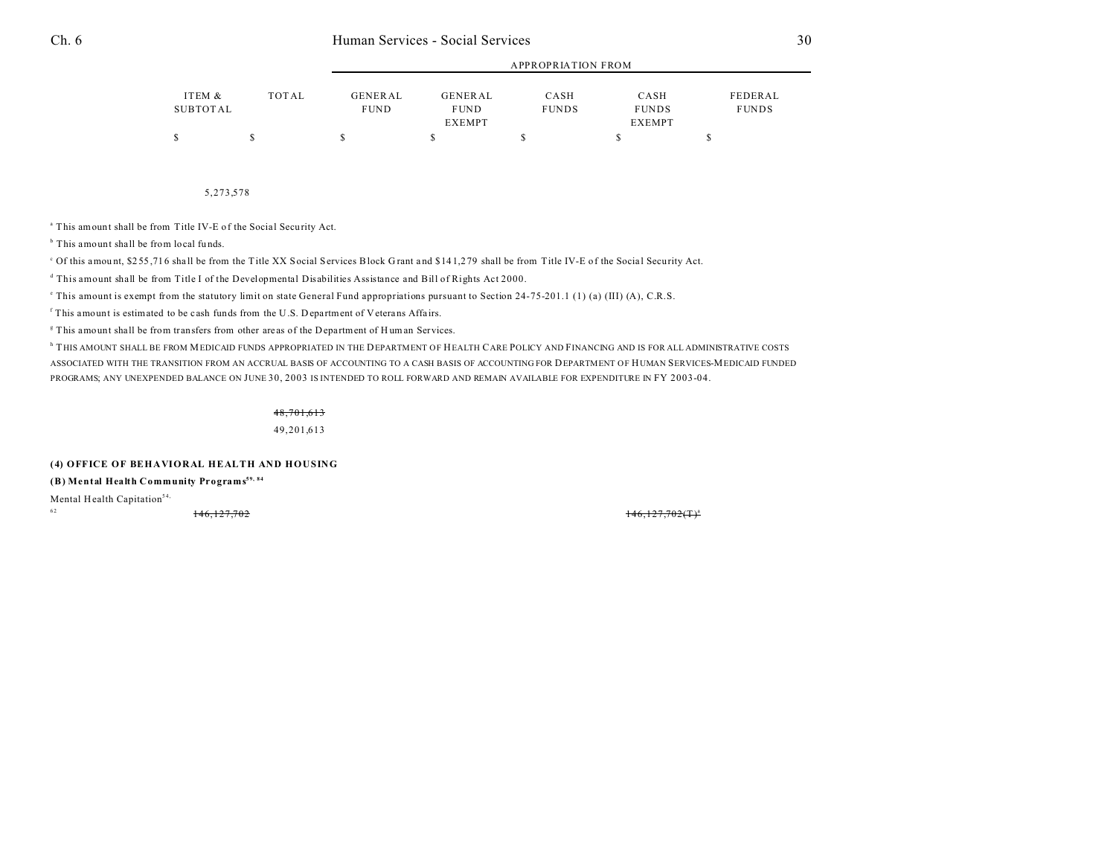|          |       |                |               | APPROPRIATION FROM |               |              |  |
|----------|-------|----------------|---------------|--------------------|---------------|--------------|--|
| ITEM &   | TOTAL | <b>GENERAL</b> | GENERAL       | CASH               | CASH          | FEDERAL      |  |
| SUBTOTAL |       | <b>FUND</b>    | <b>FUND</b>   | <b>FUNDS</b>       | <b>FUNDS</b>  | <b>FUNDS</b> |  |
|          |       |                | <b>EXEMPT</b> |                    | <b>EXEMPT</b> |              |  |
|          |       |                |               |                    |               |              |  |

APPROPRIATION FROM

#### 5,273,578

<sup>a</sup> This amount shall be from Title IV-E of the Social Security Act.

<sup>b</sup> This amount shall be from local funds.

<sup>c</sup> Of this amount, \$255,716 shall be from the Title XX Social Services Block Grant and \$141,279 shall be from Title IV-E of the Social Security Act.

d This amount shall be from Title I of the Developmental Disabilities Assistance and Bill of Rights Act 2000.

e This amount is exempt from the statutory limit on state General Fund appropriations pursuant to Section 24-75-201.1 (1) (a) (III) (A), C.R.S.

<sup>f</sup> This amount is estimated to be cash funds from the U.S. Department of Veterans Affairs.

<sup>g</sup> This amount shall be from transfers from other areas of the Department of Human Services.

h THIS AMOUNT SHALL BE FROM MEDICAID FUNDS APPROPRIATED IN THE DEPARTMENT OF HEALTH CARE POLICY AND FINANCING AND IS FOR ALL ADMINISTRATIVE COSTS ASSOCIATED WITH THE TRANSITION FROM AN ACCRUAL BASIS OF ACCOUNTING TO A CASH BASIS OF ACCOUNTING FOR DEPARTMENT OF HUMAN SERVICES-MEDICAID FUNDED PROGRAMS; ANY UNEXPENDED BALANCE ON JUNE 30, 2003 IS INTENDED TO ROLL FORWARD AND REMAIN AVAILABLE FOR EXPENDITURE IN FY 2003-04.

48,701,613

49,201,613

**(4) OFFICE OF BEHAVIORAL HEALTH AND HOUSING**

**(B) Mental Health Community Programs59, 84**

Mental Health Capitation<sup>54, 62</sup>

<sup>62</sup> 146,127,702 146,127,702(T)<sup>a</sup>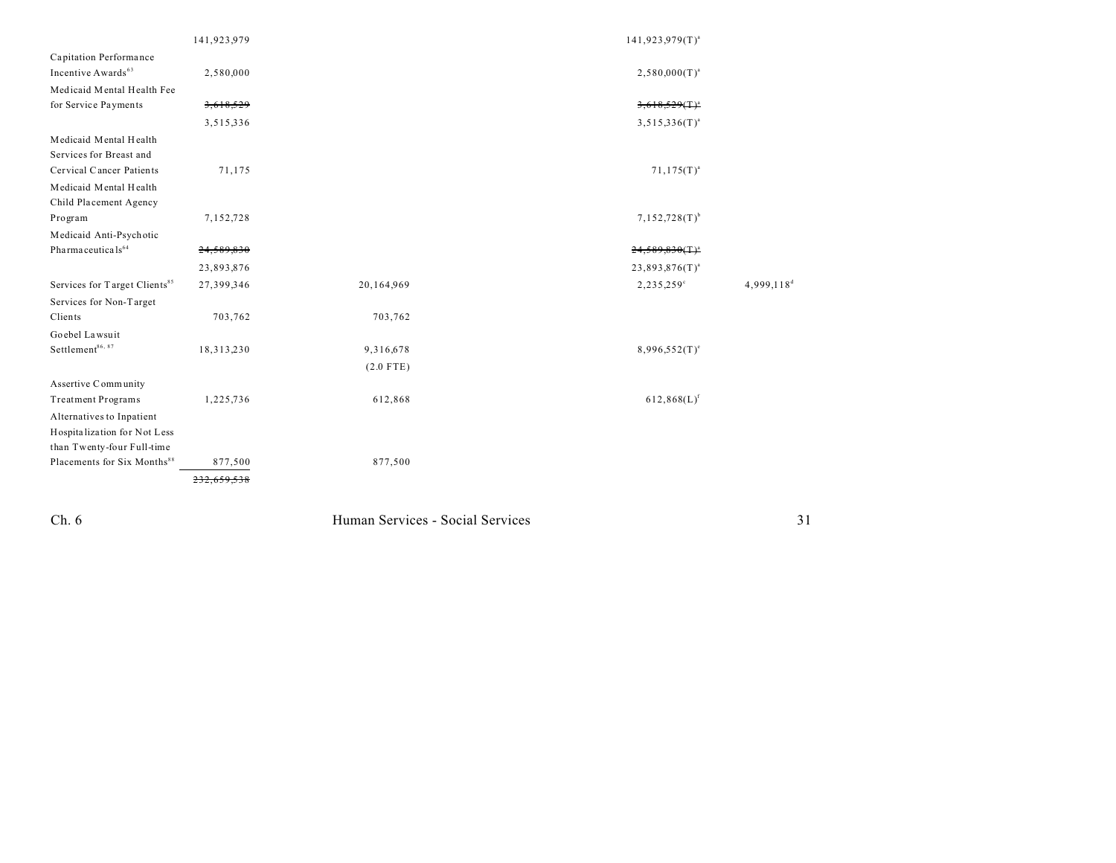|                                           | 141,923,979 |             | $141,923,979(T)^{a}$ |                        |
|-------------------------------------------|-------------|-------------|----------------------|------------------------|
| Capitation Performance                    |             |             |                      |                        |
| Incentive Awards <sup>63</sup>            | 2,580,000   |             | $2,580,000(T)^{a}$   |                        |
| Medicaid Mental Health Fee                |             |             |                      |                        |
| for Service Payments                      | 3,618,529   |             | $3,618,529($ T $)^a$ |                        |
|                                           | 3,515,336   |             | $3,515,336(T)^{a}$   |                        |
| Medicaid Mental Health                    |             |             |                      |                        |
| Services for Breast and                   |             |             |                      |                        |
| Cervical Cancer Patients                  | 71,175      |             | $71,175(T)^{a}$      |                        |
| Medicaid Mental Health                    |             |             |                      |                        |
| Child Placement Agency                    |             |             |                      |                        |
| Program                                   | 7,152,728   |             | $7,152,728(T)^{b}$   |                        |
| Medicaid Anti-Psychotic                   |             |             |                      |                        |
| Pharma ceuticals <sup>64</sup>            | 24,589,830  |             | $24,589,830(T)^{a}$  |                        |
|                                           | 23,893,876  |             | $23,893,876(T)^{a}$  |                        |
| Services for Target Clients <sup>85</sup> | 27,399,346  | 20,164,969  | 2,235,259°           | 4,999,118 <sup>d</sup> |
| Services for Non-Target                   |             |             |                      |                        |
| Clients                                   | 703,762     | 703,762     |                      |                        |
| Goebel Lawsuit                            |             |             |                      |                        |
| Settlement <sup>86, 87</sup>              | 18,313,230  | 9,316,678   | $8,996,552(T)^e$     |                        |
|                                           |             | $(2.0$ FTE) |                      |                        |
| Assertive Community                       |             |             |                      |                        |
| <b>Treatment Programs</b>                 | 1,225,736   | 612,868     | $612,868(L)^f$       |                        |
| Alternatives to Inpatient                 |             |             |                      |                        |
| Hospitalization for Not Less              |             |             |                      |                        |
| than Twenty-four Full-time                |             |             |                      |                        |
| Placements for Six Months <sup>88</sup>   | 877,500     | 877,500     |                      |                        |
|                                           | 232         |             |                      |                        |
|                                           |             |             |                      |                        |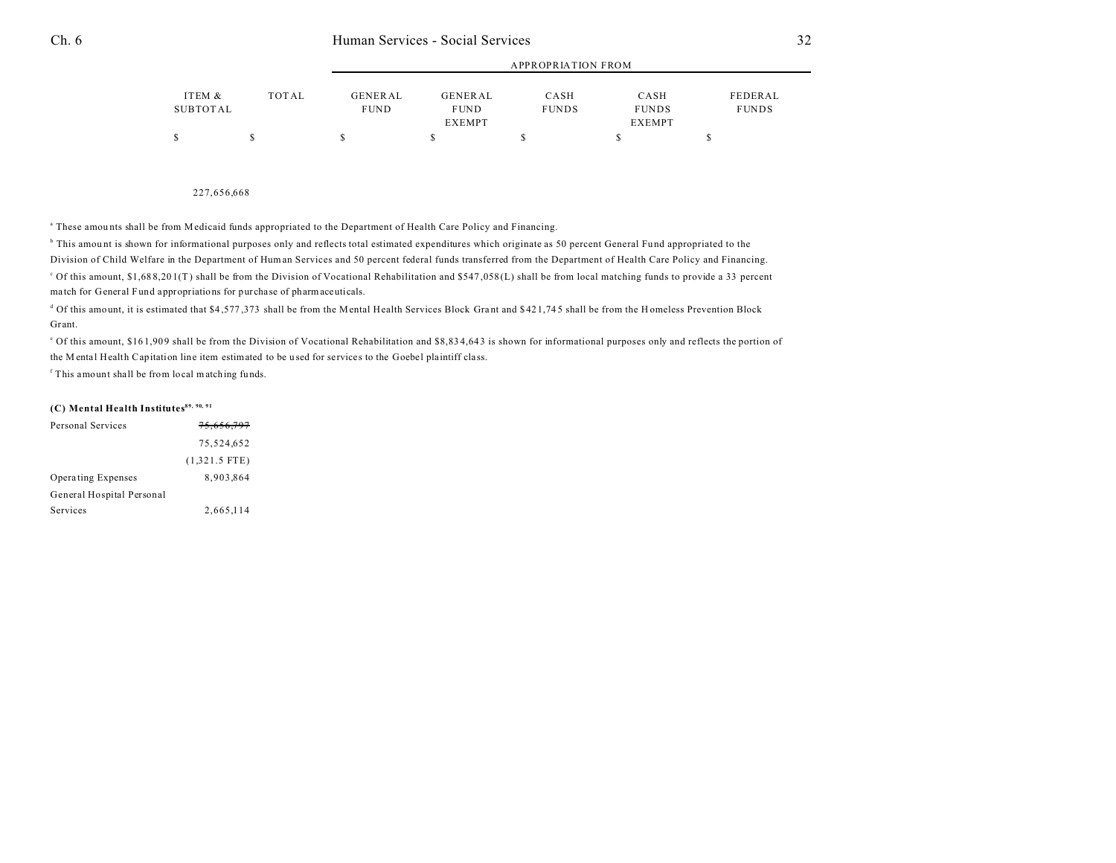|          |              |                | APPROPRIATION FROM |              |               |              |  |  |
|----------|--------------|----------------|--------------------|--------------|---------------|--------------|--|--|
| ITEM &   | <b>TOTAL</b> | <b>GENERAL</b> | GENERAL            | CASH         | CASH          | FEDERAL      |  |  |
| SUBTOTAL |              | <b>FUND</b>    | <b>FUND</b>        | <b>FUNDS</b> | <b>FUNDS</b>  | <b>FUNDS</b> |  |  |
|          |              |                | <b>EXEMPT</b>      |              | <b>EXEMPT</b> |              |  |  |
|          |              |                |                    |              |               |              |  |  |

APPROPRIATION FROM

#### 227,656,668

a These amou nts shall be from Medicaid funds appropriated to the Department of Health Care Policy and Financing.

b This amou nt is shown for informational purposes only and reflects total estimated expenditures which originate as 50 percent General Fund appropriated to the Division of Child Welfare in the Department of Human Services and 50 percent federal funds transferred from the Department of Health Care Policy and Financing. <sup>o</sup> Of this amount, \$1,688,201(T) shall be from the Division of Vocational Rehabilitation and \$547,058(L) shall be from local matching funds to provide a 33 percent ma tch for General Fund appropriations for purcha se of pharmaceuticals.

<sup>d</sup> Of this amount, it is estimated that \$4,577,373 shall be from the Mental Health Services Block Grant and \$421,745 shall be from the H omeless Prevention Block Grant.

<sup>o</sup> Of this amount, \$161,909 shall be from the Division of Vocational Rehabilitation and \$8,834,643 is shown for informational purposes only and reflects the portion of the M enta l Health Capitation line item estimated to be u sed for services to the Goebel pla intiff class.

f This amount shall be from local matching fu nds.

### **(C) Mental Health Institutes89, 90, 91**

| Personal Services         | <del>75,656,797</del> |  |
|---------------------------|-----------------------|--|
|                           | 75.524.652            |  |
|                           | $(1,321.5$ FTE)       |  |
| Operating Expenses        | 8.903.864             |  |
| General Hospital Personal |                       |  |
| Services                  | 2,665,114             |  |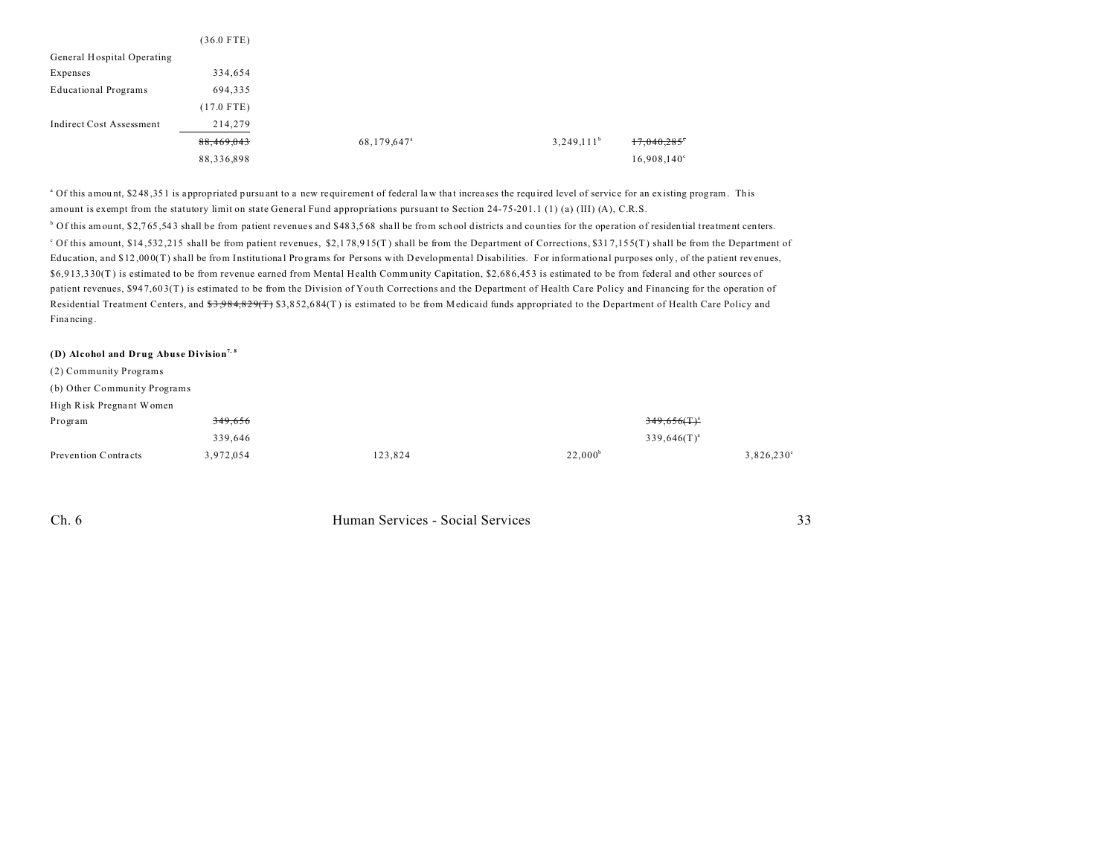|                                 | $(36.0$ FTE) |                         |               |            |
|---------------------------------|--------------|-------------------------|---------------|------------|
| General Hospital Operating      |              |                         |               |            |
| Expenses                        | 334,654      |                         |               |            |
| <b>Educational Programs</b>     | 694,335      |                         |               |            |
|                                 | $(17.0$ FTE) |                         |               |            |
| <b>Indirect Cost Assessment</b> | 214,279      |                         |               |            |
|                                 | 88,469,043   | 68,179,647 <sup>a</sup> | $3,249,111^b$ | 17,040,285 |
|                                 | 88,336,898   |                         |               |            |

<sup>a</sup> Of this amount, \$248,351 is appropriated pursuant to a new requirement of federal law that increases the required level of service for an existing program. This amount is exempt from the statutory limit on state General Fund appropriations pursuant to Section 24-75-201.1 (1) (a) (III) (A), C.R.S. <sup>b</sup> Of this amount, \$2,765,543 shall be from patient revenues and \$483,568 shall be from school districts and counties for the operation of residential treatment centers.  $^{\circ}$  Of this amount, \$14,532,215 shall be from patient revenues, \$2,178,915(T) shall be from the Department of Corrections, \$317,155(T) shall be from the Department of Education, and \$12,000(T) shall be from Institutional Programs for Persons with Developmental Disabilities. For informational purposes only, of the patient revenues, \$6,9 13,3 30(T ) is estimated to be from revenue earned from Mental Health Community Capitation, \$2,68 6,45 3 is estimated to be from federal and other sources of patient revenues, \$947,603(T) is estimated to be from the Division of Youth Corrections and the Department of Health Care Policy and Financing for the operation of Residential Treatment Centers, and \$3,984,829(T) \$3,852,684(T) is estimated to be from Medicaid funds appropriated to the Department of Health Care Policy and Fina ncing.

#### **(D) Alcohol and Drug Abuse Division7, 8**

(2) Community Programs

(b) Other Community Programs

| High Risk Pregnant Women |                    |         |            |                     |
|--------------------------|--------------------|---------|------------|---------------------|
| Program                  | <del>349,656</del> |         |            | $349,656($ T $)^3$  |
|                          | 339.646            |         |            | $339,646(T)^{a}$    |
| Prevention Contracts     | 3,972,054          | 123,824 | $22,000^b$ | $3,826,230^{\circ}$ |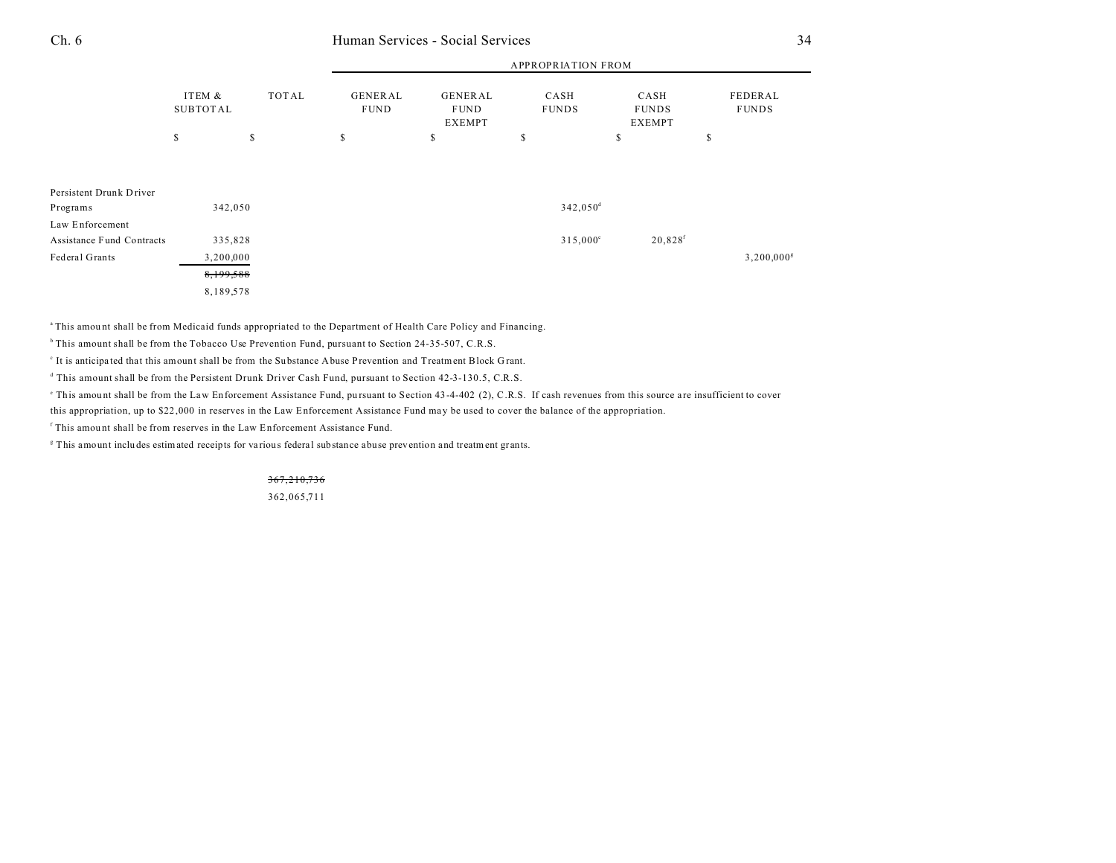|                                              |                           |              | APPROPRIATION FROM            |                                         |                        |                                       |                          |  |
|----------------------------------------------|---------------------------|--------------|-------------------------------|-----------------------------------------|------------------------|---------------------------------------|--------------------------|--|
|                                              | ITEM &<br><b>SUBTOTAL</b> | <b>TOTAL</b> | <b>GENERAL</b><br><b>FUND</b> | GENERAL<br><b>FUND</b><br><b>EXEMPT</b> | CASH<br><b>FUNDS</b>   | CASH<br><b>FUNDS</b><br><b>EXEMPT</b> | FEDERAL<br><b>FUNDS</b>  |  |
|                                              | \$<br>\$                  |              | \$                            | \$                                      | \$                     | \$                                    | \$                       |  |
|                                              |                           |              |                               |                                         |                        |                                       |                          |  |
| Persistent Drunk Driver<br>Programs          | 342,050                   |              |                               |                                         | $342,050$ <sup>d</sup> |                                       |                          |  |
| Law Enforcement<br>Assistance Fund Contracts | 335,828                   |              |                               |                                         | $315,000^{\circ}$      | $20,828$ <sup>f</sup>                 |                          |  |
| Federal Grants                               | 3,200,000<br>8,199,588    |              |                               |                                         |                        |                                       | $3,200,000$ <sup>g</sup> |  |
|                                              | 8,189,578                 |              |                               |                                         |                        |                                       |                          |  |

<sup>a</sup>This amount shall be from Medicaid funds appropriated to the Department of Health Care Policy and Financing.

<sup>b</sup> This amount shall be from the Tobacco Use Prevention Fund, pursuant to Section 24-35-507, C.R.S.

It is anticipated that this amount shall be from the Substance Abuse Prevention and Treatment Block Grant.

d This amount shall be from the Persistent Drunk Driver Cash Fund, pursuant to Section 42-3-130.5, C.R.S.

This amount shall be from the Law Enforcement Assistance Fund, pursuant to Section 43-4-402 (2), C.R.S. If cash revenues from this source are insufficient to cover

this appropriation, up to \$22,000 in reserves in the Law Enforcement Assistance Fund may be used to cover the balance of the appropriation.

f This amou nt shall be from reserves in the Law Enforcement Assistance Fund.

<sup>g</sup> This amount includes estimated receipts for various federal substance abuse prevention and treatment grants.

367,210,736

362,065,711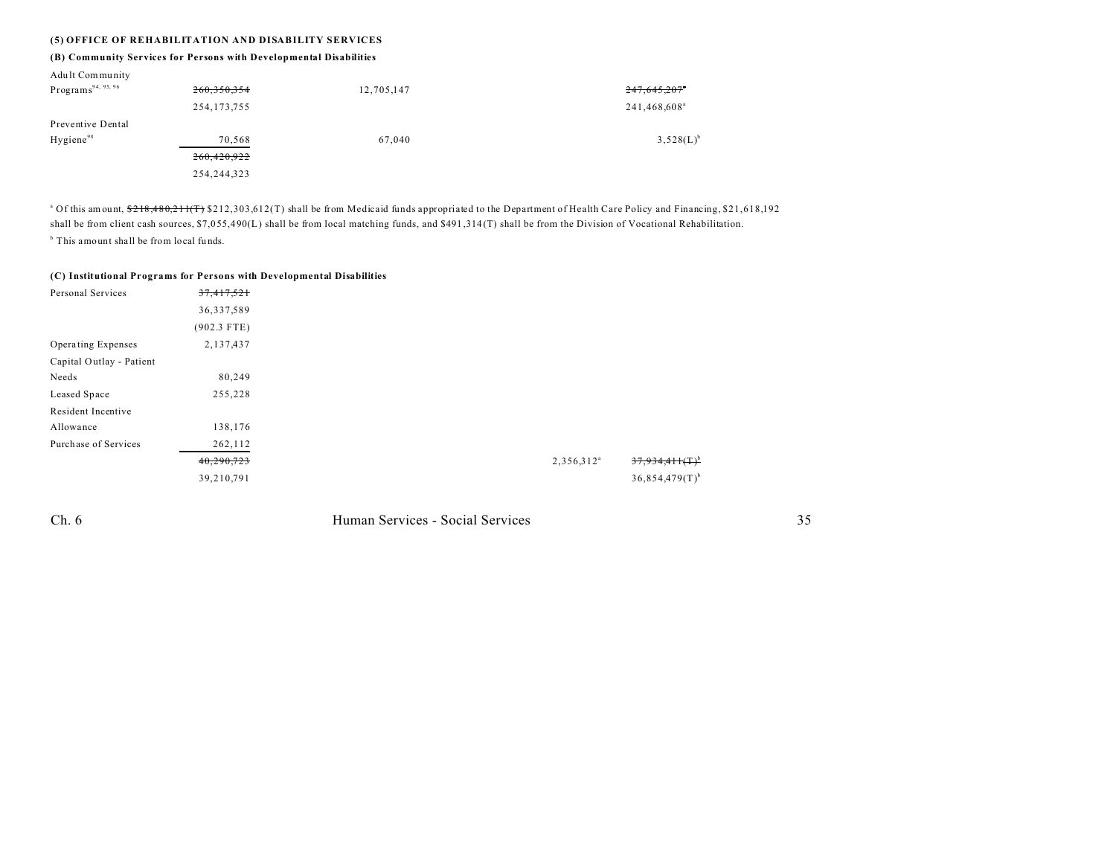### **(5) OFFICE OF REHABILITATION AND DISABILITY SERVICES**

### **(B) Community Services for Persons with Developmental Disabilities**

| Adult Community                |               |            |                          |
|--------------------------------|---------------|------------|--------------------------|
| Programs <sup>94, 95, 96</sup> | 260,350,354   | 12,705,147 | 247,645,207°             |
|                                | 254, 173, 755 |            | 241,468,608 <sup>ª</sup> |
| Preventive Dental              |               |            |                          |
| Hygiene <sup>98</sup>          | 70,568        | 67,040     | $3,528(L)^{b}$           |
|                                | 260,420,922   |            |                          |
|                                | 254, 244, 323 |            |                          |
|                                |               |            |                          |

<sup>a</sup> Of this amount, <del>\$218,480,211(T)</del> \$212,303,612(T) shall be from Medicaid funds appropriated to the Department of Health Care Policy and Financing, \$21,618,192 shall be from client cash sources, \$7,055,490(L) shall be from local matching funds, and \$491,314(T) shall be from the Division of Vocational Rehabilitation. <sup>b</sup> This amount shall be from local funds.

#### **(C) Institutional Programs for Persons with Developmental Disabilities**

| Personal Services        | 37,417,521    |
|--------------------------|---------------|
|                          | 36,337,589    |
|                          | $(902.3$ FTE) |
| Operating Expenses       | 2,137,437     |
| Capital Outlay - Patient |               |
| Needs                    | 80,249        |
| Leased Space             | 255,228       |
| Resident Incentive       |               |
| Allowance                | 138,176       |
| Purchase of Services     | 262,112       |
|                          | 40,290,723    |
|                          | 39,210,791    |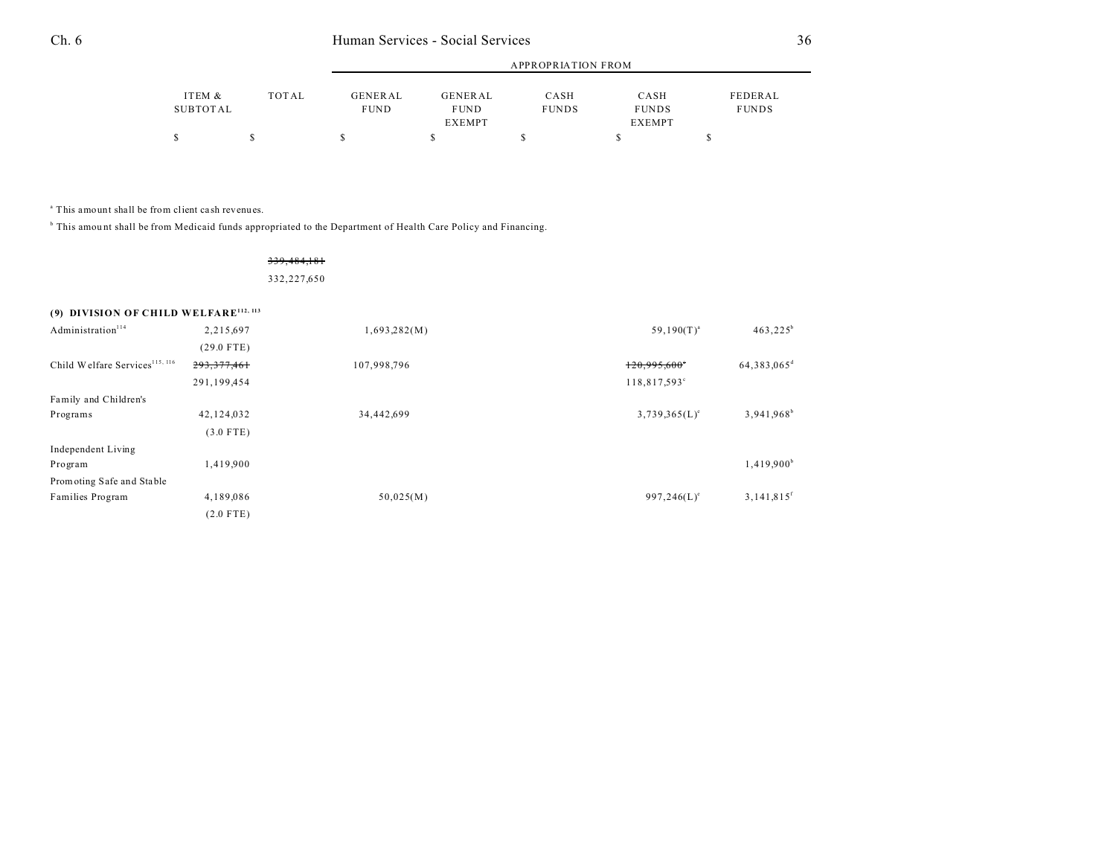|                    |       | APPROPRIATION FROM     |                        |                      |                      |                         |  |
|--------------------|-------|------------------------|------------------------|----------------------|----------------------|-------------------------|--|
| ITEM &<br>SUBTOTAL | TOTAL | GENERAL<br><b>FUND</b> | GENERAL<br><b>FUND</b> | CASH<br><b>FUNDS</b> | CASH<br><b>FUNDS</b> | FEDERAL<br><b>FUNDS</b> |  |
|                    |       |                        | <b>EXEMPT</b>          |                      | <b>EXEMPT</b>        |                         |  |
|                    |       |                        |                        |                      |                      |                         |  |

a This amount shall be from client ca sh revenues.

<sup>b</sup> This amount shall be from Medicaid funds appropriated to the Department of Health Care Policy and Financing.

#### 339,484,181

332,227,650

## **(9) DIVISION OF CHILD WELFARE112, 113**

| Administration <sup>114</sup>              | 2,215,697     | 1,693,282(M) | $59,190(T)^{a}$          | $463,225^b$              |
|--------------------------------------------|---------------|--------------|--------------------------|--------------------------|
|                                            | $(29.0$ FTE)  |              |                          |                          |
| Child Welfare Services <sup>115, 116</sup> | 293, 377, 461 | 107,998,796  | 120,995,600              | 64,383,065 <sup>d</sup>  |
|                                            | 291,199,454   |              | 118,817,593 <sup>c</sup> |                          |
| Family and Children's                      |               |              |                          |                          |
| Programs                                   | 42,124,032    | 34,442,699   | $3,739,365(L)^e$         | 3,941.968 <sup>b</sup>   |
|                                            | $(3.0$ FTE)   |              |                          |                          |
| Independent Living                         |               |              |                          |                          |
| Program                                    | 1,419,900     |              |                          | 1,419,900 <sup>b</sup>   |
| Promoting Safe and Stable                  |               |              |                          |                          |
| Families Program                           | 4,189,086     | 50,025(M)    | $997,246(L)^e$           | $3,141,815$ <sup>f</sup> |
|                                            | $(2.0$ FTE)   |              |                          |                          |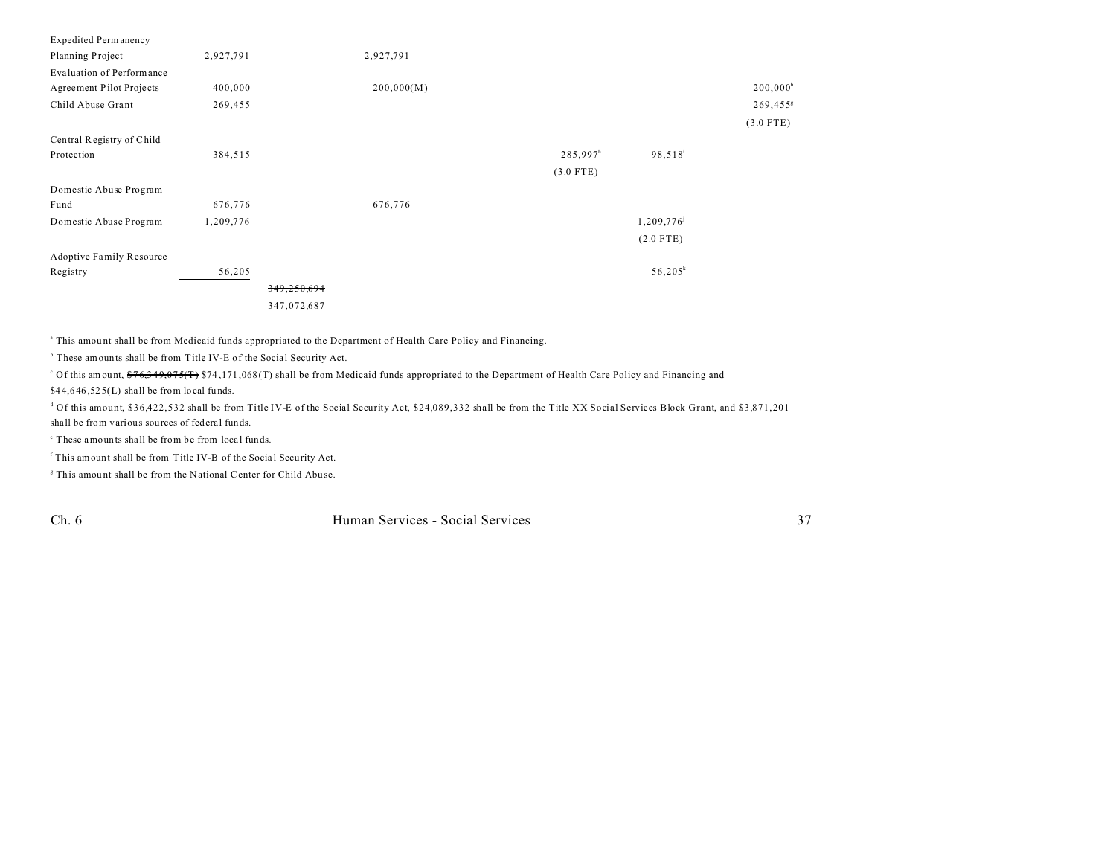| <b>Expedited Permanency</b>     |           |             |            |                      |                     |                        |
|---------------------------------|-----------|-------------|------------|----------------------|---------------------|------------------------|
| Planning Project                | 2,927,791 |             | 2,927,791  |                      |                     |                        |
| Evaluation of Performance       |           |             |            |                      |                     |                        |
| Agreement Pilot Projects        | 400,000   |             | 200,000(M) |                      |                     | $200,000$ <sup>b</sup> |
| Child Abuse Grant               | 269,455   |             |            |                      |                     | 269,455                |
|                                 |           |             |            |                      |                     | $(3.0$ FTE)            |
| Central Registry of Child       |           |             |            |                      |                     |                        |
| Protection                      | 384,515   |             |            | 285,997 <sup>h</sup> | 98,518 <sup>i</sup> |                        |
|                                 |           |             |            | $(3.0$ FTE)          |                     |                        |
| Domestic Abuse Program          |           |             |            |                      |                     |                        |
| Fund                            | 676,776   |             | 676,776    |                      |                     |                        |
| Domestic Abuse Program          | 1,209,776 |             |            |                      | 1,209,776           |                        |
|                                 |           |             |            |                      | $(2.0$ FTE)         |                        |
| <b>Adoptive Family Resource</b> |           |             |            |                      |                     |                        |
| Registry                        | 56,205    |             |            |                      | $56,205^k$          |                        |
|                                 |           | 349,250,694 |            |                      |                     |                        |
|                                 |           | 347,072,687 |            |                      |                     |                        |

<sup>a</sup> This amount shall be from Medicaid funds appropriated to the Department of Health Care Policy and Financing.

<sup>b</sup> These amounts shall be from Title IV-E of the Social Security Act.

<sup>c</sup> Of this amount, <del>\$76,349,075(T)</del> \$74,171,068(T) shall be from Medicaid funds appropriated to the Department of Health Care Policy and Financing and  $$44,646,525(L)$  shall be from local funds.

d Of this amount, \$36,422,532 shall be from Title IV-E of the Social Security Act, \$24,089,332 shall be from the Title XX Social Services Block Grant, and \$3,871,201 shall be from various sources of federal funds.

<sup>e</sup> These amounts shall be from be from local funds.

<sup>f</sup> This amount shall be from Title IV-B of the Social Security Act.

<sup>8</sup> This amount shall be from the National Center for Child Abuse.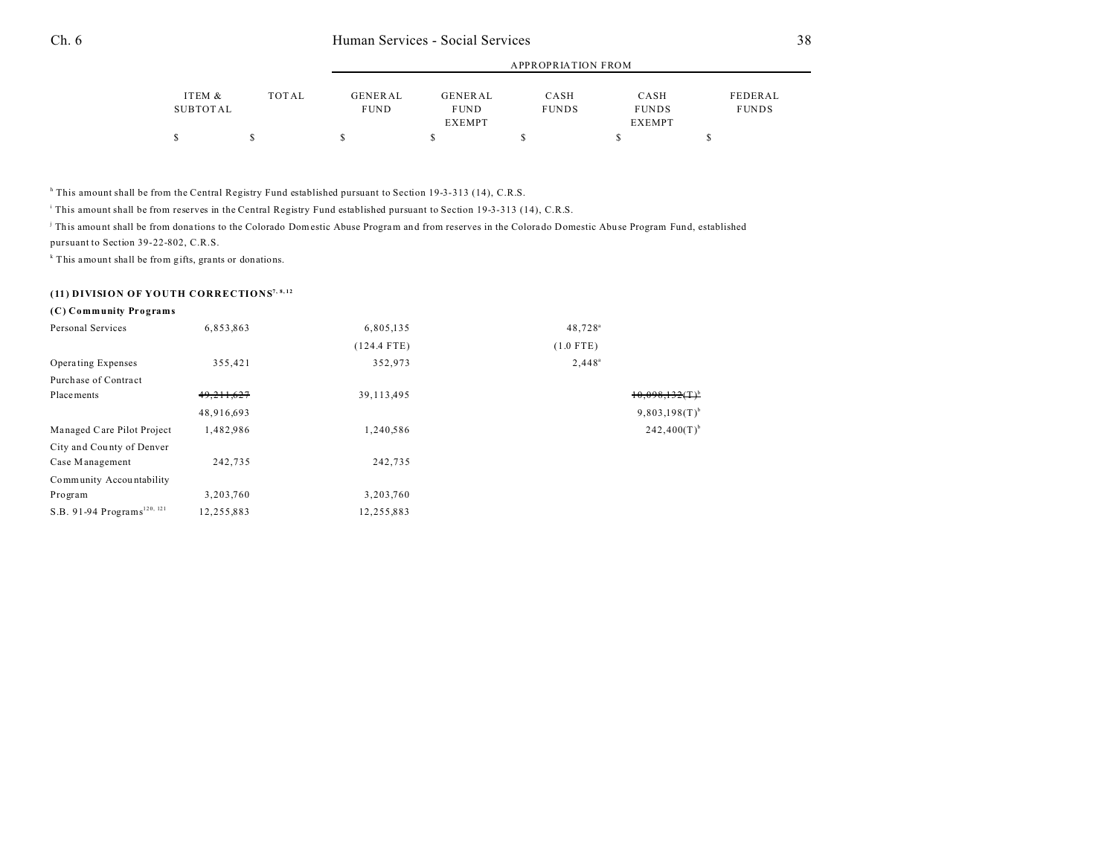|                    |       | APPROPRIATION FROM            |                        |                      |                      |                         |
|--------------------|-------|-------------------------------|------------------------|----------------------|----------------------|-------------------------|
| ITEM &<br>SUBTOTAL | TOTAL | <b>GENERAL</b><br><b>FUND</b> | GENERAL<br><b>FUND</b> | CASH<br><b>FUNDS</b> | CASH<br><b>FUNDS</b> | FEDERAL<br><b>FUNDS</b> |
|                    |       |                               | <b>EXEMPT</b>          |                      | <b>EXEMPT</b>        |                         |
|                    |       |                               |                        |                      |                      |                         |

<sup>h</sup> This amount shall be from the Central Registry Fund established pursuant to Section 19-3-313 (14), C.R.S.

i This amount shall be from reserves in the Central Registry Fund established pursuant to Section 19-3-313 (14), C.R.S.

This amount shall be from donations to the Colorado Domestic Abuse Program and from reserves in the Colorado Domestic Abuse Program Fund, established pursuant to Section 39-22-802, C.R.S.

k This amount shall be from gifts, grants or donations.

## **(11) DIVISION OF YOUTH CORRECTIONS7, 8, 12**

### **(C) Community Programs**

| Personal Services                       | 6,853,863    | 6,805,135     | 48,728 <sup>a</sup>       |
|-----------------------------------------|--------------|---------------|---------------------------|
|                                         |              | $(124.4$ FTE) | $(1.0$ FTE)               |
| Operating Expenses                      | 355,421      | 352,973       | $2,448^a$                 |
| Purchase of Contract                    |              |               |                           |
| Placements                              | 49, 211, 627 | 39, 113, 495  | $10,098,132(T)^{6}$       |
|                                         | 48,916,693   |               | $9,803,198(T)^{b}$        |
| Managed Care Pilot Project              | 1,482,986    | 1,240,586     | $242,400(T)$ <sup>b</sup> |
| City and County of Denver               |              |               |                           |
| Case Management                         | 242.735      | 242,735       |                           |
| Community Accountability                |              |               |                           |
| Program                                 | 3,203,760    | 3,203,760     |                           |
| S.B. 91-94 Programs <sup>120, 121</sup> | 12,255,883   | 12,255,883    |                           |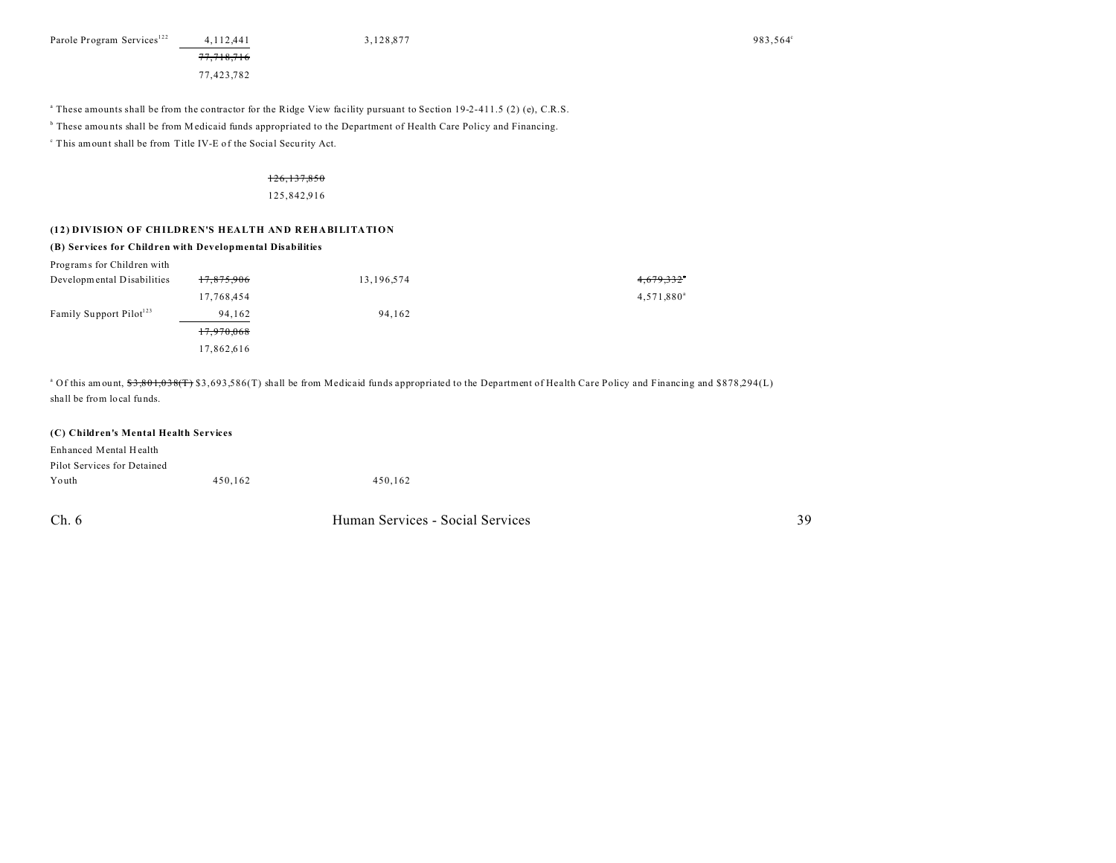Parole Program Services<sup>122</sup> 4,112,441 3,128,877 983,564<sup>c</sup>

a These amounts shall be from the contractor for the Ridge View facility pursuant to Section 19-2-411.5 (2) (e), C.R.S. b These amou nts shall be from Medicaid funds appropriated to the Department of Health Care Policy and Financing.

<sup>c</sup> This amount shall be from Title IV-E of the Social Security Act.

### 126,137,850

#### 125,842,916

### **(12) DIVISION OF CHILDREN'S HEALTH AND REHABILITATION**

77,718,716 77,423,782

#### **(B) Services for Children with Developmental Disabilities**

| Programs for Children with          |            |            |                        |
|-------------------------------------|------------|------------|------------------------|
| Developmental Disabilities          | 17,875,906 | 13,196,574 | 4,679,332°             |
|                                     | 17,768,454 |            | 4,571,880 <sup>a</sup> |
| Family Support Pilot <sup>123</sup> | 94,162     | 94,162     |                        |
|                                     | 17,970,068 |            |                        |
|                                     | 17,862,616 |            |                        |

<sup>a</sup> Of this amount, <del>\$3,801,038(T)</del> \$3,693,586(T) shall be from Medicaid funds appropriated to the Department of Health Care Policy and Financing and \$878,294(L) shall be from local fu nds.

### **(C) Children's Mental Health Services**

| Enhanced Mental Health      |         |         |
|-----------------------------|---------|---------|
| Pilot Services for Detained |         |         |
| Youth                       | 450.162 | 450.162 |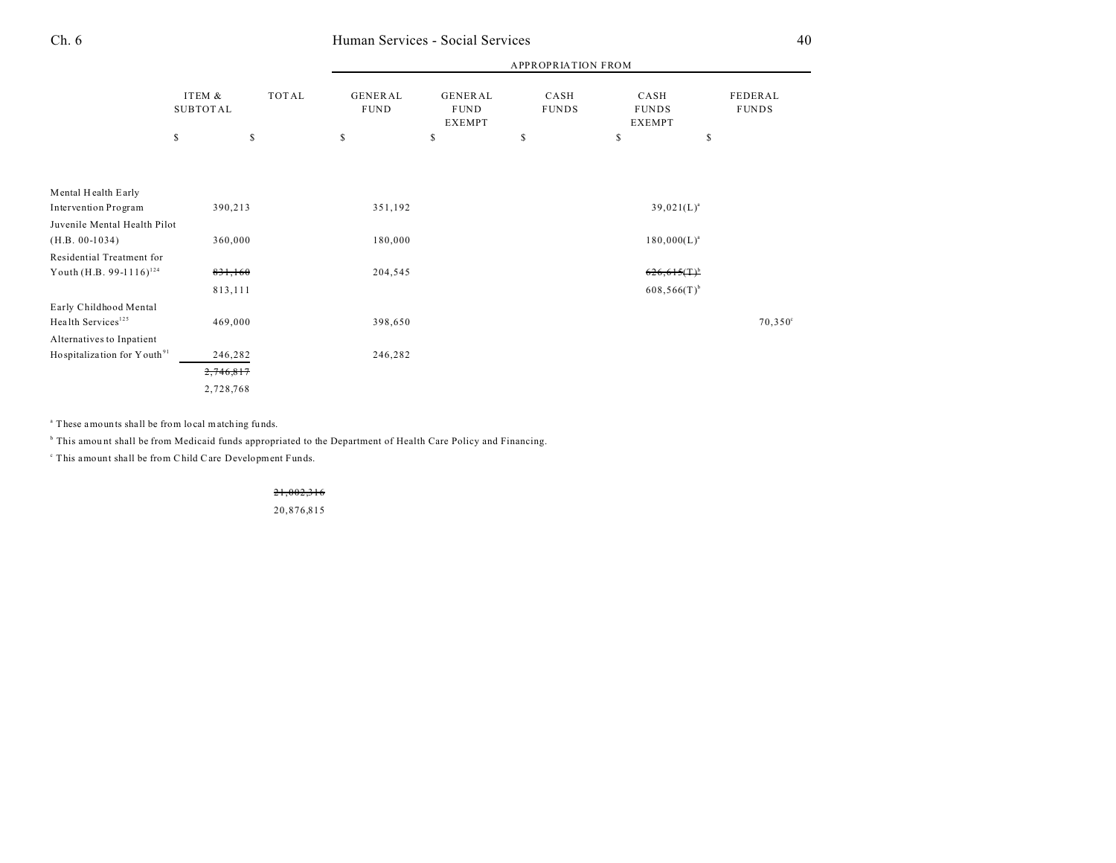|                                                          |                           |              | <b>APPROPRIATION FROM</b>     |                                                |                      |                                       |                         |  |
|----------------------------------------------------------|---------------------------|--------------|-------------------------------|------------------------------------------------|----------------------|---------------------------------------|-------------------------|--|
|                                                          | ITEM &<br><b>SUBTOTAL</b> | <b>TOTAL</b> | <b>GENERAL</b><br><b>FUND</b> | <b>GENERAL</b><br><b>FUND</b><br><b>EXEMPT</b> | CASH<br><b>FUNDS</b> | CASH<br><b>FUNDS</b><br><b>EXEMPT</b> | FEDERAL<br><b>FUNDS</b> |  |
|                                                          | \$                        | S            | S                             | \$                                             | \$                   | \$                                    | \$                      |  |
|                                                          |                           |              |                               |                                                |                      |                                       |                         |  |
| Mental Health Early                                      |                           |              |                               |                                                |                      |                                       |                         |  |
| Intervention Program                                     | 390,213                   |              |                               | 351,192                                        |                      | $39,021(L)^a$                         |                         |  |
| Juvenile Mental Health Pilot                             |                           |              |                               |                                                |                      |                                       |                         |  |
| $(H.B. 00-1034)$                                         |                           | 360,000      |                               | 180,000                                        |                      | $180,000(L)^{a}$                      |                         |  |
| Residential Treatment for                                |                           |              |                               |                                                |                      |                                       |                         |  |
| Youth (H.B. 99-1116) <sup>124</sup>                      |                           | 831,160      |                               | 204,545                                        |                      | $626,615(T)^b$                        |                         |  |
|                                                          | 813,111                   |              |                               |                                                |                      | $608,566(T)$ <sup>b</sup>             |                         |  |
| Early Childhood Mental<br>Health Services <sup>125</sup> | 469,000                   |              | 398,650                       |                                                |                      |                                       | $70,350^{\circ}$        |  |
| Alternatives to Inpatient                                |                           |              |                               |                                                |                      |                                       |                         |  |
| Hospitalization for Y outh <sup>91</sup>                 | 246,282                   |              | 246,282                       |                                                |                      |                                       |                         |  |
|                                                          | 2,746,817                 |              |                               |                                                |                      |                                       |                         |  |
|                                                          | 2,728,768                 |              |                               |                                                |                      |                                       |                         |  |
|                                                          |                           |              |                               |                                                |                      |                                       |                         |  |

<sup>a</sup> These amounts shall be from local matching funds.

<sup>b</sup> This amount shall be from Medicaid funds appropriated to the Department of Health Care Policy and Financing.

c This amount shall be from Child Care Development Funds.

21,002,316

20,876,815